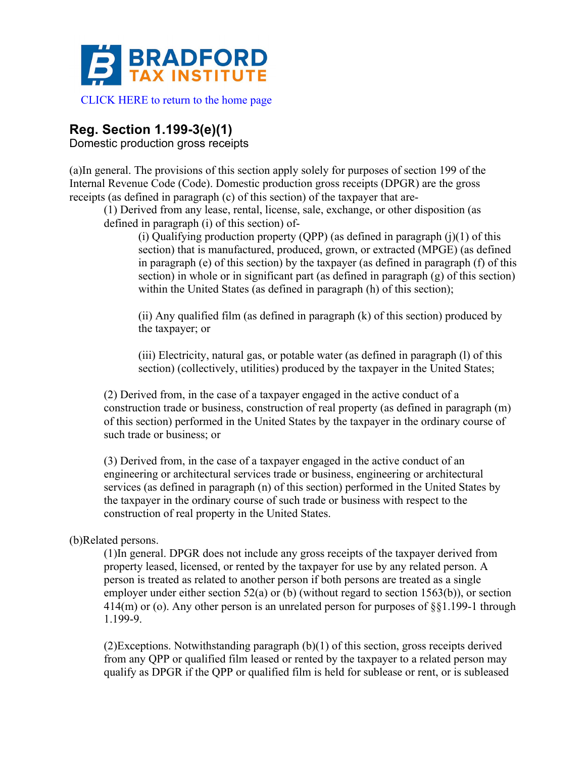

# **Reg. Section 1.199-3(e)(1)**

Domestic production gross receipts

(a)In general. The provisions of this section apply solely for purposes of section 199 of the Internal Revenue Code (Code). Domestic production gross receipts (DPGR) are the gross receipts (as defined in paragraph (c) of this section) of the taxpayer that are-

(1) Derived from any lease, rental, license, sale, exchange, or other disposition (as defined in paragraph (i) of this section) of-

(i) Qualifying production property (QPP) (as defined in paragraph  $(j)(1)$  of this section) that is manufactured, produced, grown, or extracted (MPGE) (as defined in paragraph (e) of this section) by the taxpayer (as defined in paragraph (f) of this section) in whole or in significant part (as defined in paragraph (g) of this section) within the United States (as defined in paragraph (h) of this section);

(ii) Any qualified film (as defined in paragraph (k) of this section) produced by the taxpayer; or

(iii) Electricity, natural gas, or potable water (as defined in paragraph (l) of this section) (collectively, utilities) produced by the taxpayer in the United States;

(2) Derived from, in the case of a taxpayer engaged in the active conduct of a construction trade or business, construction of real property (as defined in paragraph (m) of this section) performed in the United States by the taxpayer in the ordinary course of such trade or business; or

(3) Derived from, in the case of a taxpayer engaged in the active conduct of an engineering or architectural services trade or business, engineering or architectural services (as defined in paragraph (n) of this section) performed in the United States by the taxpayer in the ordinary course of such trade or business with respect to the construction of real property in the United States.

# (b)Related persons.

(1)In general. DPGR does not include any gross receipts of the taxpayer derived from property leased, licensed, or rented by the taxpayer for use by any related person. A person is treated as related to another person if both persons are treated as a single employer under either section 52(a) or (b) (without regard to section 1563(b)), or section 414(m) or (o). Any other person is an unrelated person for purposes of §§1.199-1 through 1.199-9.

(2)Exceptions. Notwithstanding paragraph (b)(1) of this section, gross receipts derived from any QPP or qualified film leased or rented by the taxpayer to a related person may qualify as DPGR if the QPP or qualified film is held for sublease or rent, or is subleased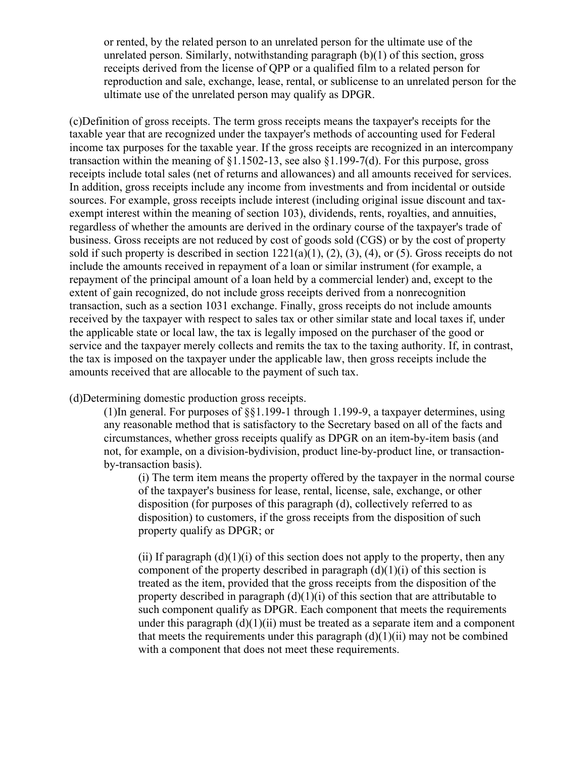or rented, by the related person to an unrelated person for the ultimate use of the unrelated person. Similarly, notwithstanding paragraph (b)(1) of this section, gross receipts derived from the license of QPP or a qualified film to a related person for reproduction and sale, exchange, lease, rental, or sublicense to an unrelated person for the ultimate use of the unrelated person may qualify as DPGR.

(c)Definition of gross receipts. The term gross receipts means the taxpayer's receipts for the taxable year that are recognized under the taxpayer's methods of accounting used for Federal income tax purposes for the taxable year. If the gross receipts are recognized in an intercompany transaction within the meaning of §1.1502-13, see also §1.199-7(d). For this purpose, gross receipts include total sales (net of returns and allowances) and all amounts received for services. In addition, gross receipts include any income from investments and from incidental or outside sources. For example, gross receipts include interest (including original issue discount and taxexempt interest within the meaning of section 103), dividends, rents, royalties, and annuities, regardless of whether the amounts are derived in the ordinary course of the taxpayer's trade of business. Gross receipts are not reduced by cost of goods sold (CGS) or by the cost of property sold if such property is described in section  $1221(a)(1)$ ,  $(2)$ ,  $(3)$ ,  $(4)$ , or  $(5)$ . Gross receipts do not include the amounts received in repayment of a loan or similar instrument (for example, a repayment of the principal amount of a loan held by a commercial lender) and, except to the extent of gain recognized, do not include gross receipts derived from a nonrecognition transaction, such as a section 1031 exchange. Finally, gross receipts do not include amounts received by the taxpayer with respect to sales tax or other similar state and local taxes if, under the applicable state or local law, the tax is legally imposed on the purchaser of the good or service and the taxpayer merely collects and remits the tax to the taxing authority. If, in contrast, the tax is imposed on the taxpayer under the applicable law, then gross receipts include the amounts received that are allocable to the payment of such tax.

(d)Determining domestic production gross receipts.

(1)In general. For purposes of §§1.199-1 through 1.199-9, a taxpayer determines, using any reasonable method that is satisfactory to the Secretary based on all of the facts and circumstances, whether gross receipts qualify as DPGR on an item-by-item basis (and not, for example, on a division-bydivision, product line-by-product line, or transactionby-transaction basis).

(i) The term item means the property offered by the taxpayer in the normal course of the taxpayer's business for lease, rental, license, sale, exchange, or other disposition (for purposes of this paragraph (d), collectively referred to as disposition) to customers, if the gross receipts from the disposition of such property qualify as DPGR; or

(ii) If paragraph  $(d)(1)(i)$  of this section does not apply to the property, then any component of the property described in paragraph  $(d)(1)(i)$  of this section is treated as the item, provided that the gross receipts from the disposition of the property described in paragraph  $(d)(1)(i)$  of this section that are attributable to such component qualify as DPGR. Each component that meets the requirements under this paragraph  $(d)(1)(ii)$  must be treated as a separate item and a component that meets the requirements under this paragraph  $(d)(1)(ii)$  may not be combined with a component that does not meet these requirements.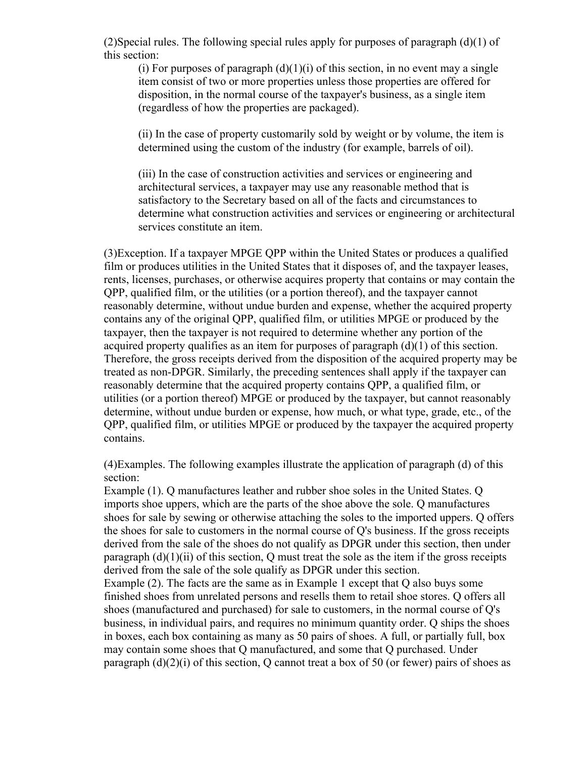(2)Special rules. The following special rules apply for purposes of paragraph (d)(1) of this section:

(i) For purposes of paragraph  $(d)(1)(i)$  of this section, in no event may a single item consist of two or more properties unless those properties are offered for disposition, in the normal course of the taxpayer's business, as a single item (regardless of how the properties are packaged).

(ii) In the case of property customarily sold by weight or by volume, the item is determined using the custom of the industry (for example, barrels of oil).

(iii) In the case of construction activities and services or engineering and architectural services, a taxpayer may use any reasonable method that is satisfactory to the Secretary based on all of the facts and circumstances to determine what construction activities and services or engineering or architectural services constitute an item.

(3)Exception. If a taxpayer MPGE QPP within the United States or produces a qualified film or produces utilities in the United States that it disposes of, and the taxpayer leases, rents, licenses, purchases, or otherwise acquires property that contains or may contain the QPP, qualified film, or the utilities (or a portion thereof), and the taxpayer cannot reasonably determine, without undue burden and expense, whether the acquired property contains any of the original QPP, qualified film, or utilities MPGE or produced by the taxpayer, then the taxpayer is not required to determine whether any portion of the acquired property qualifies as an item for purposes of paragraph (d)(1) of this section. Therefore, the gross receipts derived from the disposition of the acquired property may be treated as non-DPGR. Similarly, the preceding sentences shall apply if the taxpayer can reasonably determine that the acquired property contains QPP, a qualified film, or utilities (or a portion thereof) MPGE or produced by the taxpayer, but cannot reasonably determine, without undue burden or expense, how much, or what type, grade, etc., of the QPP, qualified film, or utilities MPGE or produced by the taxpayer the acquired property contains.

(4)Examples. The following examples illustrate the application of paragraph (d) of this section:

Example (1). Q manufactures leather and rubber shoe soles in the United States. Q imports shoe uppers, which are the parts of the shoe above the sole. Q manufactures shoes for sale by sewing or otherwise attaching the soles to the imported uppers. Q offers the shoes for sale to customers in the normal course of Q's business. If the gross receipts derived from the sale of the shoes do not qualify as DPGR under this section, then under paragraph  $(d)(1)(ii)$  of this section, Q must treat the sole as the item if the gross receipts derived from the sale of the sole qualify as DPGR under this section.

Example (2). The facts are the same as in Example 1 except that Q also buys some finished shoes from unrelated persons and resells them to retail shoe stores. Q offers all shoes (manufactured and purchased) for sale to customers, in the normal course of Q's business, in individual pairs, and requires no minimum quantity order. Q ships the shoes in boxes, each box containing as many as 50 pairs of shoes. A full, or partially full, box may contain some shoes that Q manufactured, and some that Q purchased. Under paragraph  $(d)(2)(i)$  of this section, Q cannot treat a box of 50 (or fewer) pairs of shoes as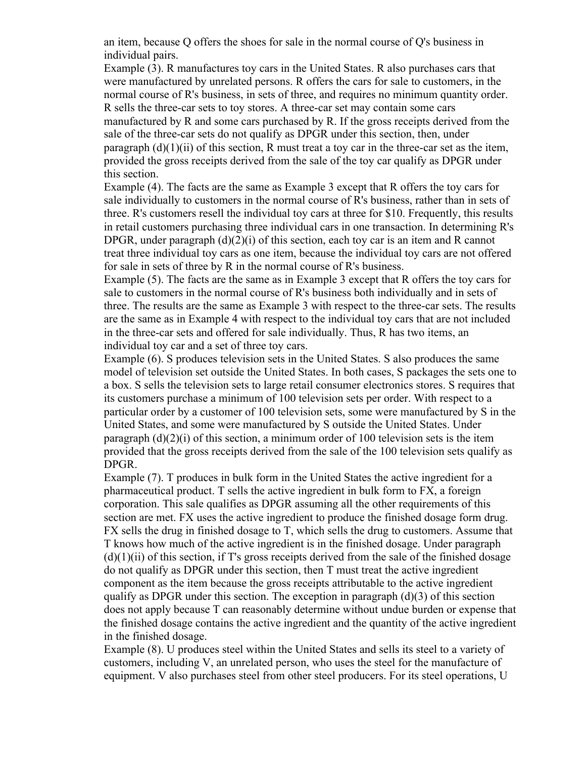an item, because Q offers the shoes for sale in the normal course of Q's business in individual pairs.

Example (3). R manufactures toy cars in the United States. R also purchases cars that were manufactured by unrelated persons. R offers the cars for sale to customers, in the normal course of R's business, in sets of three, and requires no minimum quantity order. R sells the three-car sets to toy stores. A three-car set may contain some cars manufactured by R and some cars purchased by R. If the gross receipts derived from the sale of the three-car sets do not qualify as DPGR under this section, then, under paragraph  $(d)(1)(ii)$  of this section, R must treat a toy car in the three-car set as the item, provided the gross receipts derived from the sale of the toy car qualify as DPGR under this section.

Example (4). The facts are the same as Example 3 except that R offers the toy cars for sale individually to customers in the normal course of R's business, rather than in sets of three. R's customers resell the individual toy cars at three for \$10. Frequently, this results in retail customers purchasing three individual cars in one transaction. In determining R's DPGR, under paragraph  $(d)(2)(i)$  of this section, each toy car is an item and R cannot treat three individual toy cars as one item, because the individual toy cars are not offered for sale in sets of three by R in the normal course of R's business.

Example (5). The facts are the same as in Example 3 except that R offers the toy cars for sale to customers in the normal course of R's business both individually and in sets of three. The results are the same as Example 3 with respect to the three-car sets. The results are the same as in Example 4 with respect to the individual toy cars that are not included in the three-car sets and offered for sale individually. Thus, R has two items, an individual toy car and a set of three toy cars.

Example (6). S produces television sets in the United States. S also produces the same model of television set outside the United States. In both cases, S packages the sets one to a box. S sells the television sets to large retail consumer electronics stores. S requires that its customers purchase a minimum of 100 television sets per order. With respect to a particular order by a customer of 100 television sets, some were manufactured by S in the United States, and some were manufactured by S outside the United States. Under paragraph  $(d)(2)(i)$  of this section, a minimum order of 100 television sets is the item provided that the gross receipts derived from the sale of the 100 television sets qualify as DPGR.

Example (7). T produces in bulk form in the United States the active ingredient for a pharmaceutical product. T sells the active ingredient in bulk form to FX, a foreign corporation. This sale qualifies as DPGR assuming all the other requirements of this section are met. FX uses the active ingredient to produce the finished dosage form drug. FX sells the drug in finished dosage to T, which sells the drug to customers. Assume that T knows how much of the active ingredient is in the finished dosage. Under paragraph  $(d)(1)(ii)$  of this section, if T's gross receipts derived from the sale of the finished dosage do not qualify as DPGR under this section, then T must treat the active ingredient component as the item because the gross receipts attributable to the active ingredient qualify as DPGR under this section. The exception in paragraph  $(d)(3)$  of this section does not apply because T can reasonably determine without undue burden or expense that the finished dosage contains the active ingredient and the quantity of the active ingredient in the finished dosage.

Example (8). U produces steel within the United States and sells its steel to a variety of customers, including V, an unrelated person, who uses the steel for the manufacture of equipment. V also purchases steel from other steel producers. For its steel operations, U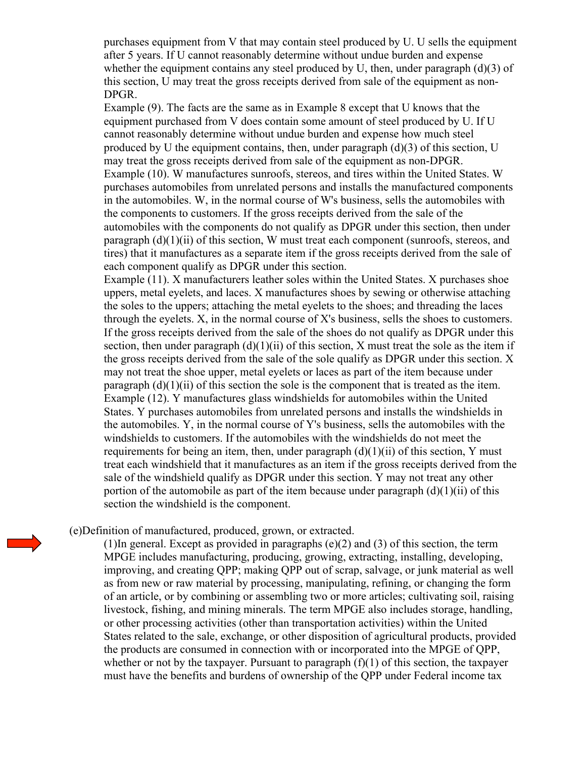purchases equipment from V that may contain steel produced by U. U sells the equipment after 5 years. If U cannot reasonably determine without undue burden and expense whether the equipment contains any steel produced by U, then, under paragraph  $(d)(3)$  of this section, U may treat the gross receipts derived from sale of the equipment as non-DPGR.

Example (9). The facts are the same as in Example 8 except that U knows that the equipment purchased from V does contain some amount of steel produced by U. If U cannot reasonably determine without undue burden and expense how much steel produced by U the equipment contains, then, under paragraph (d)(3) of this section, U may treat the gross receipts derived from sale of the equipment as non-DPGR. Example (10). W manufactures sunroofs, stereos, and tires within the United States. W purchases automobiles from unrelated persons and installs the manufactured components in the automobiles. W, in the normal course of W's business, sells the automobiles with the components to customers. If the gross receipts derived from the sale of the automobiles with the components do not qualify as DPGR under this section, then under paragraph (d)(1)(ii) of this section, W must treat each component (sunroofs, stereos, and tires) that it manufactures as a separate item if the gross receipts derived from the sale of each component qualify as DPGR under this section.

Example (11). X manufacturers leather soles within the United States. X purchases shoe uppers, metal eyelets, and laces. X manufactures shoes by sewing or otherwise attaching the soles to the uppers; attaching the metal eyelets to the shoes; and threading the laces through the eyelets. X, in the normal course of X's business, sells the shoes to customers. If the gross receipts derived from the sale of the shoes do not qualify as DPGR under this section, then under paragraph  $(d)(1)(ii)$  of this section, X must treat the sole as the item if the gross receipts derived from the sale of the sole qualify as DPGR under this section. X may not treat the shoe upper, metal eyelets or laces as part of the item because under paragraph  $(d)(1)(ii)$  of this section the sole is the component that is treated as the item. Example (12). Y manufactures glass windshields for automobiles within the United States. Y purchases automobiles from unrelated persons and installs the windshields in the automobiles. Y, in the normal course of Y's business, sells the automobiles with the windshields to customers. If the automobiles with the windshields do not meet the requirements for being an item, then, under paragraph  $(d)(1)(ii)$  of this section, Y must treat each windshield that it manufactures as an item if the gross receipts derived from the sale of the windshield qualify as DPGR under this section. Y may not treat any other portion of the automobile as part of the item because under paragraph  $(d)(1)(ii)$  of this section the windshield is the component.

(e)Definition of manufactured, produced, grown, or extracted.

(1)In general. Except as provided in paragraphs (e)(2) and (3) of this section, the term MPGE includes manufacturing, producing, growing, extracting, installing, developing, improving, and creating QPP; making QPP out of scrap, salvage, or junk material as well as from new or raw material by processing, manipulating, refining, or changing the form of an article, or by combining or assembling two or more articles; cultivating soil, raising livestock, fishing, and mining minerals. The term MPGE also includes storage, handling, or other processing activities (other than transportation activities) within the United States related to the sale, exchange, or other disposition of agricultural products, provided the products are consumed in connection with or incorporated into the MPGE of QPP, whether or not by the taxpayer. Pursuant to paragraph  $(f)(1)$  of this section, the taxpayer must have the benefits and burdens of ownership of the QPP under Federal income tax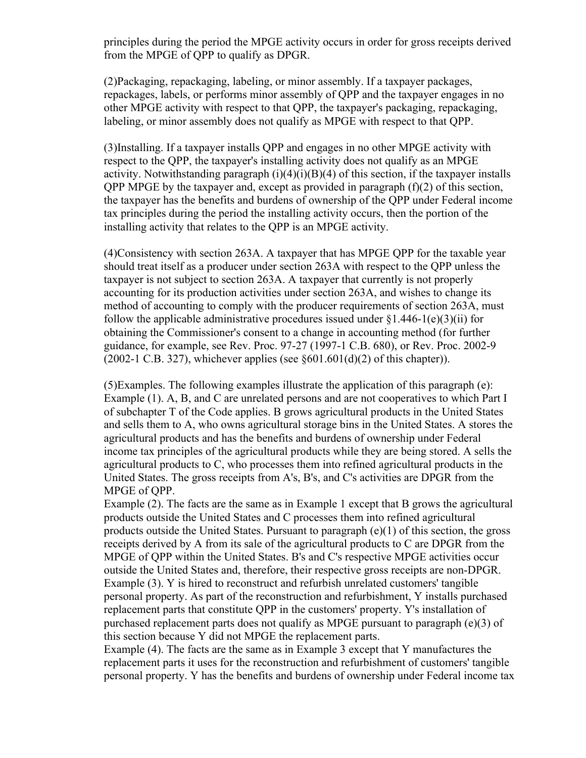principles during the period the MPGE activity occurs in order for gross receipts derived from the MPGE of QPP to qualify as DPGR.

(2)Packaging, repackaging, labeling, or minor assembly. If a taxpayer packages, repackages, labels, or performs minor assembly of QPP and the taxpayer engages in no other MPGE activity with respect to that QPP, the taxpayer's packaging, repackaging, labeling, or minor assembly does not qualify as MPGE with respect to that QPP.

(3)Installing. If a taxpayer installs QPP and engages in no other MPGE activity with respect to the QPP, the taxpayer's installing activity does not qualify as an MPGE activity. Notwithstanding paragraph  $(i)(4)(i)(B)(4)$  of this section, if the taxpayer installs QPP MPGE by the taxpayer and, except as provided in paragraph (f)(2) of this section, the taxpayer has the benefits and burdens of ownership of the QPP under Federal income tax principles during the period the installing activity occurs, then the portion of the installing activity that relates to the QPP is an MPGE activity.

(4)Consistency with section 263A. A taxpayer that has MPGE QPP for the taxable year should treat itself as a producer under section 263A with respect to the QPP unless the taxpayer is not subject to section 263A. A taxpayer that currently is not properly accounting for its production activities under section 263A, and wishes to change its method of accounting to comply with the producer requirements of section 263A, must follow the applicable administrative procedures issued under  $\S1.446-1(e)(3)(ii)$  for obtaining the Commissioner's consent to a change in accounting method (for further guidance, for example, see Rev. Proc. 97-27 (1997-1 C.B. 680), or Rev. Proc. 2002-9 (2002-1 C.B. 327), whichever applies (see  $\S601.601(d)(2)$  of this chapter)).

(5)Examples. The following examples illustrate the application of this paragraph (e): Example (1). A, B, and C are unrelated persons and are not cooperatives to which Part I of subchapter T of the Code applies. B grows agricultural products in the United States and sells them to A, who owns agricultural storage bins in the United States. A stores the agricultural products and has the benefits and burdens of ownership under Federal income tax principles of the agricultural products while they are being stored. A sells the agricultural products to C, who processes them into refined agricultural products in the United States. The gross receipts from A's, B's, and C's activities are DPGR from the MPGE of QPP.

Example (2). The facts are the same as in Example 1 except that B grows the agricultural products outside the United States and C processes them into refined agricultural products outside the United States. Pursuant to paragraph (e)(1) of this section, the gross receipts derived by A from its sale of the agricultural products to C are DPGR from the MPGE of QPP within the United States. B's and C's respective MPGE activities occur outside the United States and, therefore, their respective gross receipts are non-DPGR. Example (3). Y is hired to reconstruct and refurbish unrelated customers' tangible personal property. As part of the reconstruction and refurbishment, Y installs purchased replacement parts that constitute QPP in the customers' property. Y's installation of purchased replacement parts does not qualify as MPGE pursuant to paragraph (e)(3) of this section because Y did not MPGE the replacement parts.

Example (4). The facts are the same as in Example 3 except that Y manufactures the replacement parts it uses for the reconstruction and refurbishment of customers' tangible personal property. Y has the benefits and burdens of ownership under Federal income tax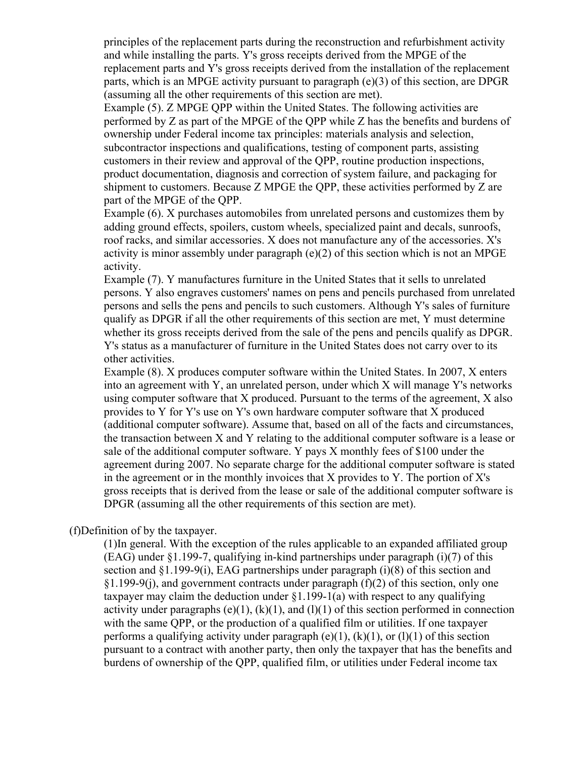principles of the replacement parts during the reconstruction and refurbishment activity and while installing the parts. Y's gross receipts derived from the MPGE of the replacement parts and Y's gross receipts derived from the installation of the replacement parts, which is an MPGE activity pursuant to paragraph (e)(3) of this section, are DPGR (assuming all the other requirements of this section are met).

Example (5). Z MPGE QPP within the United States. The following activities are performed by Z as part of the MPGE of the QPP while Z has the benefits and burdens of ownership under Federal income tax principles: materials analysis and selection, subcontractor inspections and qualifications, testing of component parts, assisting customers in their review and approval of the QPP, routine production inspections, product documentation, diagnosis and correction of system failure, and packaging for shipment to customers. Because Z MPGE the QPP, these activities performed by Z are part of the MPGE of the QPP.

Example (6). X purchases automobiles from unrelated persons and customizes them by adding ground effects, spoilers, custom wheels, specialized paint and decals, sunroofs, roof racks, and similar accessories. X does not manufacture any of the accessories. X's activity is minor assembly under paragraph (e)(2) of this section which is not an MPGE activity.

Example (7). Y manufactures furniture in the United States that it sells to unrelated persons. Y also engraves customers' names on pens and pencils purchased from unrelated persons and sells the pens and pencils to such customers. Although Y's sales of furniture qualify as DPGR if all the other requirements of this section are met, Y must determine whether its gross receipts derived from the sale of the pens and pencils qualify as DPGR. Y's status as a manufacturer of furniture in the United States does not carry over to its other activities.

Example (8). X produces computer software within the United States. In 2007, X enters into an agreement with Y, an unrelated person, under which X will manage Y's networks using computer software that X produced. Pursuant to the terms of the agreement, X also provides to Y for Y's use on Y's own hardware computer software that X produced (additional computer software). Assume that, based on all of the facts and circumstances, the transaction between X and Y relating to the additional computer software is a lease or sale of the additional computer software. Y pays X monthly fees of \$100 under the agreement during 2007. No separate charge for the additional computer software is stated in the agreement or in the monthly invoices that X provides to Y. The portion of X's gross receipts that is derived from the lease or sale of the additional computer software is DPGR (assuming all the other requirements of this section are met).

(f)Definition of by the taxpayer.

(1)In general. With the exception of the rules applicable to an expanded affiliated group  $(EAG)$  under §1.199-7, qualifying in-kind partnerships under paragraph (i)(7) of this section and §1.199-9(i), EAG partnerships under paragraph (i)(8) of this section and  $\S1.199-9(i)$ , and government contracts under paragraph (f)(2) of this section, only one taxpayer may claim the deduction under  $\S1.199-1(a)$  with respect to any qualifying activity under paragraphs (e)(1), (k)(1), and (l)(1) of this section performed in connection with the same QPP, or the production of a qualified film or utilities. If one taxpayer performs a qualifying activity under paragraph  $(e)(1)$ ,  $(k)(1)$ , or  $(l)(1)$  of this section pursuant to a contract with another party, then only the taxpayer that has the benefits and burdens of ownership of the QPP, qualified film, or utilities under Federal income tax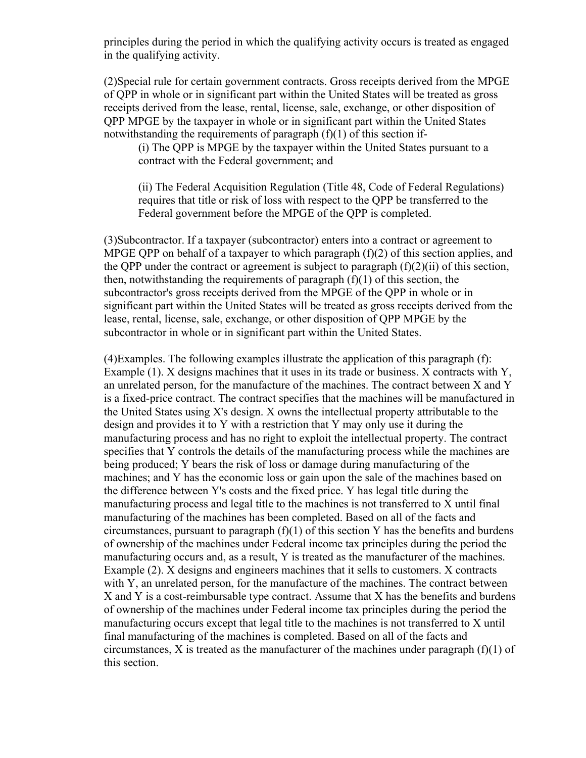principles during the period in which the qualifying activity occurs is treated as engaged in the qualifying activity.

(2)Special rule for certain government contracts. Gross receipts derived from the MPGE of QPP in whole or in significant part within the United States will be treated as gross receipts derived from the lease, rental, license, sale, exchange, or other disposition of QPP MPGE by the taxpayer in whole or in significant part within the United States notwithstanding the requirements of paragraph  $(f)(1)$  of this section if-

(i) The QPP is MPGE by the taxpayer within the United States pursuant to a contract with the Federal government; and

(ii) The Federal Acquisition Regulation (Title 48, Code of Federal Regulations) requires that title or risk of loss with respect to the QPP be transferred to the Federal government before the MPGE of the QPP is completed.

(3)Subcontractor. If a taxpayer (subcontractor) enters into a contract or agreement to MPGE QPP on behalf of a taxpayer to which paragraph (f)(2) of this section applies, and the QPP under the contract or agreement is subject to paragraph  $(f)(2)(ii)$  of this section, then, notwithstanding the requirements of paragraph  $(f)(1)$  of this section, the subcontractor's gross receipts derived from the MPGE of the QPP in whole or in significant part within the United States will be treated as gross receipts derived from the lease, rental, license, sale, exchange, or other disposition of QPP MPGE by the subcontractor in whole or in significant part within the United States.

(4)Examples. The following examples illustrate the application of this paragraph (f): Example (1). X designs machines that it uses in its trade or business. X contracts with Y, an unrelated person, for the manufacture of the machines. The contract between X and Y is a fixed-price contract. The contract specifies that the machines will be manufactured in the United States using X's design. X owns the intellectual property attributable to the design and provides it to Y with a restriction that Y may only use it during the manufacturing process and has no right to exploit the intellectual property. The contract specifies that Y controls the details of the manufacturing process while the machines are being produced; Y bears the risk of loss or damage during manufacturing of the machines; and Y has the economic loss or gain upon the sale of the machines based on the difference between Y's costs and the fixed price. Y has legal title during the manufacturing process and legal title to the machines is not transferred to X until final manufacturing of the machines has been completed. Based on all of the facts and circumstances, pursuant to paragraph  $(f)(1)$  of this section Y has the benefits and burdens of ownership of the machines under Federal income tax principles during the period the manufacturing occurs and, as a result, Y is treated as the manufacturer of the machines. Example (2). X designs and engineers machines that it sells to customers. X contracts with Y, an unrelated person, for the manufacture of the machines. The contract between X and Y is a cost-reimbursable type contract. Assume that X has the benefits and burdens of ownership of the machines under Federal income tax principles during the period the manufacturing occurs except that legal title to the machines is not transferred to X until final manufacturing of the machines is completed. Based on all of the facts and circumstances, X is treated as the manufacturer of the machines under paragraph  $(f)(1)$  of this section.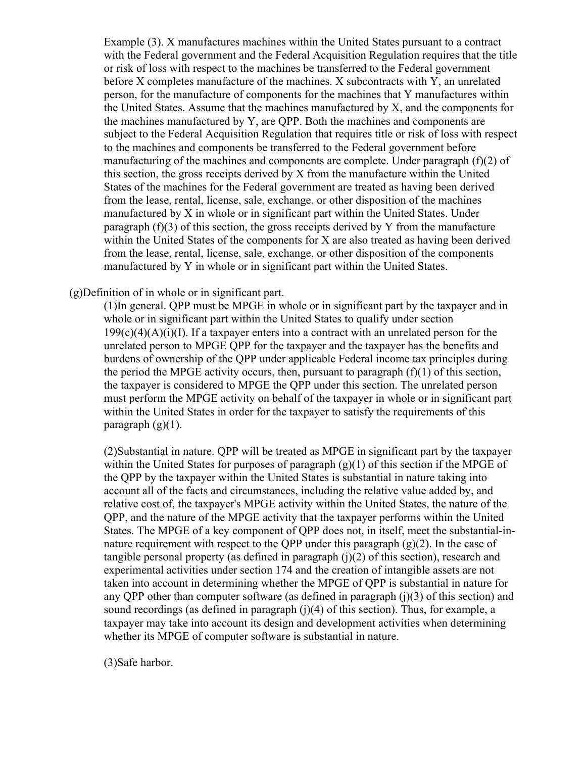Example (3). X manufactures machines within the United States pursuant to a contract with the Federal government and the Federal Acquisition Regulation requires that the title or risk of loss with respect to the machines be transferred to the Federal government before X completes manufacture of the machines. X subcontracts with Y, an unrelated person, for the manufacture of components for the machines that Y manufactures within the United States. Assume that the machines manufactured by X, and the components for the machines manufactured by Y, are QPP. Both the machines and components are subject to the Federal Acquisition Regulation that requires title or risk of loss with respect to the machines and components be transferred to the Federal government before manufacturing of the machines and components are complete. Under paragraph (f)(2) of this section, the gross receipts derived by X from the manufacture within the United States of the machines for the Federal government are treated as having been derived from the lease, rental, license, sale, exchange, or other disposition of the machines manufactured by X in whole or in significant part within the United States. Under paragraph (f)(3) of this section, the gross receipts derived by Y from the manufacture within the United States of the components for X are also treated as having been derived from the lease, rental, license, sale, exchange, or other disposition of the components manufactured by Y in whole or in significant part within the United States.

(g)Definition of in whole or in significant part.

(1)In general. QPP must be MPGE in whole or in significant part by the taxpayer and in whole or in significant part within the United States to qualify under section  $199(c)(4)(A)(i)(I)$ . If a taxpayer enters into a contract with an unrelated person for the unrelated person to MPGE QPP for the taxpayer and the taxpayer has the benefits and burdens of ownership of the QPP under applicable Federal income tax principles during the period the MPGE activity occurs, then, pursuant to paragraph  $(f)(1)$  of this section, the taxpayer is considered to MPGE the QPP under this section. The unrelated person must perform the MPGE activity on behalf of the taxpayer in whole or in significant part within the United States in order for the taxpayer to satisfy the requirements of this paragraph  $(g)(1)$ .

(2)Substantial in nature. QPP will be treated as MPGE in significant part by the taxpayer within the United States for purposes of paragraph  $(g)(1)$  of this section if the MPGE of the QPP by the taxpayer within the United States is substantial in nature taking into account all of the facts and circumstances, including the relative value added by, and relative cost of, the taxpayer's MPGE activity within the United States, the nature of the QPP, and the nature of the MPGE activity that the taxpayer performs within the United States. The MPGE of a key component of QPP does not, in itself, meet the substantial-innature requirement with respect to the OPP under this paragraph  $(g)(2)$ . In the case of tangible personal property (as defined in paragraph  $(j)(2)$  of this section), research and experimental activities under section 174 and the creation of intangible assets are not taken into account in determining whether the MPGE of QPP is substantial in nature for any OPP other than computer software (as defined in paragraph  $(i)(3)$  of this section) and sound recordings (as defined in paragraph (j)(4) of this section). Thus, for example, a taxpayer may take into account its design and development activities when determining whether its MPGE of computer software is substantial in nature.

(3)Safe harbor.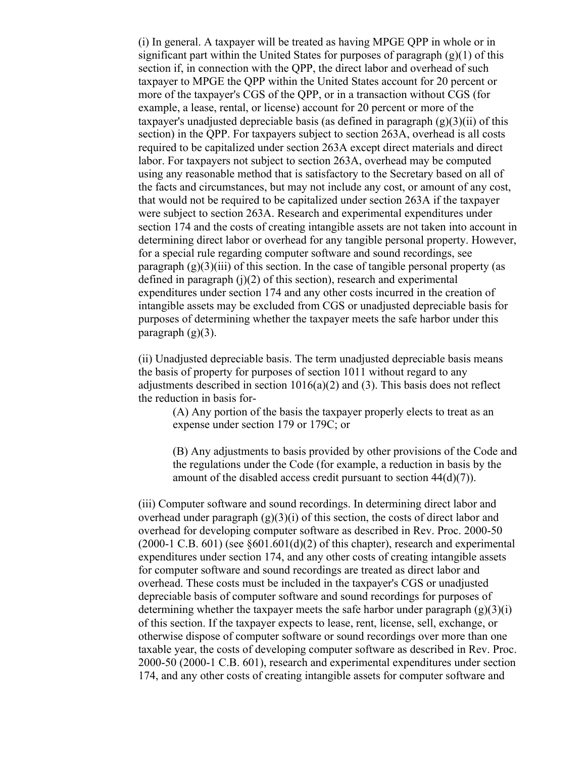(i) In general. A taxpayer will be treated as having MPGE QPP in whole or in significant part within the United States for purposes of paragraph  $(g)(1)$  of this section if, in connection with the QPP, the direct labor and overhead of such taxpayer to MPGE the QPP within the United States account for 20 percent or more of the taxpayer's CGS of the QPP, or in a transaction without CGS (for example, a lease, rental, or license) account for 20 percent or more of the taxpayer's unadjusted depreciable basis (as defined in paragraph  $(g)(3)(ii)$  of this section) in the QPP. For taxpayers subject to section 263A, overhead is all costs required to be capitalized under section 263A except direct materials and direct labor. For taxpayers not subject to section 263A, overhead may be computed using any reasonable method that is satisfactory to the Secretary based on all of the facts and circumstances, but may not include any cost, or amount of any cost, that would not be required to be capitalized under section 263A if the taxpayer were subject to section 263A. Research and experimental expenditures under section 174 and the costs of creating intangible assets are not taken into account in determining direct labor or overhead for any tangible personal property. However, for a special rule regarding computer software and sound recordings, see paragraph  $(g)(3)(iii)$  of this section. In the case of tangible personal property (as defined in paragraph  $(i)(2)$  of this section), research and experimental expenditures under section 174 and any other costs incurred in the creation of intangible assets may be excluded from CGS or unadjusted depreciable basis for purposes of determining whether the taxpayer meets the safe harbor under this paragraph  $(g)(3)$ .

(ii) Unadjusted depreciable basis. The term unadjusted depreciable basis means the basis of property for purposes of section 1011 without regard to any adjustments described in section  $1016(a)(2)$  and (3). This basis does not reflect the reduction in basis for-

(A) Any portion of the basis the taxpayer properly elects to treat as an expense under section 179 or 179C; or

(B) Any adjustments to basis provided by other provisions of the Code and the regulations under the Code (for example, a reduction in basis by the amount of the disabled access credit pursuant to section 44(d)(7)).

(iii) Computer software and sound recordings. In determining direct labor and overhead under paragraph  $(g)(3)(i)$  of this section, the costs of direct labor and overhead for developing computer software as described in Rev. Proc. 2000-50  $(2000-1 \text{ C.B. } 601)$  (see §601.601(d)(2) of this chapter), research and experimental expenditures under section 174, and any other costs of creating intangible assets for computer software and sound recordings are treated as direct labor and overhead. These costs must be included in the taxpayer's CGS or unadjusted depreciable basis of computer software and sound recordings for purposes of determining whether the taxpayer meets the safe harbor under paragraph  $(g)(3)(i)$ of this section. If the taxpayer expects to lease, rent, license, sell, exchange, or otherwise dispose of computer software or sound recordings over more than one taxable year, the costs of developing computer software as described in Rev. Proc. 2000-50 (2000-1 C.B. 601), research and experimental expenditures under section 174, and any other costs of creating intangible assets for computer software and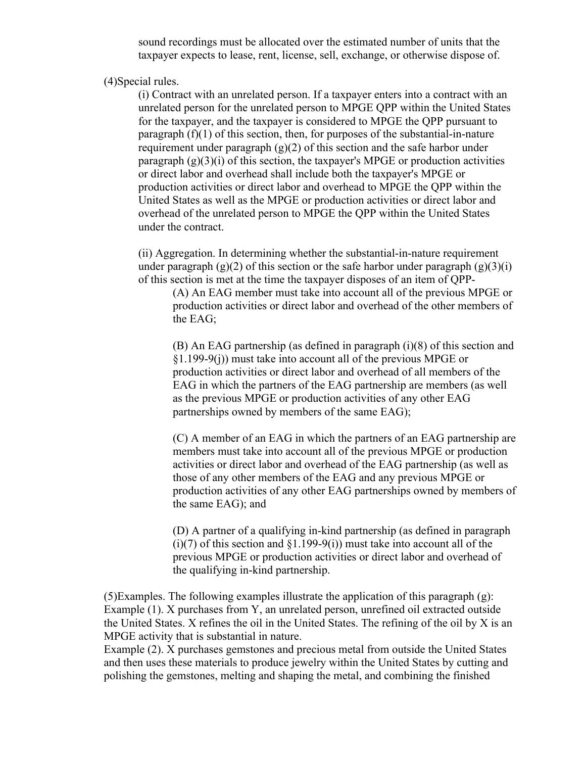sound recordings must be allocated over the estimated number of units that the taxpayer expects to lease, rent, license, sell, exchange, or otherwise dispose of.

(4)Special rules.

(i) Contract with an unrelated person. If a taxpayer enters into a contract with an unrelated person for the unrelated person to MPGE QPP within the United States for the taxpayer, and the taxpayer is considered to MPGE the QPP pursuant to paragraph  $(f)(1)$  of this section, then, for purposes of the substantial-in-nature requirement under paragraph  $(g)(2)$  of this section and the safe harbor under paragraph  $(g)(3)(i)$  of this section, the taxpayer's MPGE or production activities or direct labor and overhead shall include both the taxpayer's MPGE or production activities or direct labor and overhead to MPGE the QPP within the United States as well as the MPGE or production activities or direct labor and overhead of the unrelated person to MPGE the QPP within the United States under the contract.

(ii) Aggregation. In determining whether the substantial-in-nature requirement under paragraph (g)(2) of this section or the safe harbor under paragraph (g)(3)(i) of this section is met at the time the taxpayer disposes of an item of QPP-

(A) An EAG member must take into account all of the previous MPGE or production activities or direct labor and overhead of the other members of the EAG;

(B) An EAG partnership (as defined in paragraph (i)(8) of this section and §1.199-9(j)) must take into account all of the previous MPGE or production activities or direct labor and overhead of all members of the EAG in which the partners of the EAG partnership are members (as well as the previous MPGE or production activities of any other EAG partnerships owned by members of the same EAG);

(C) A member of an EAG in which the partners of an EAG partnership are members must take into account all of the previous MPGE or production activities or direct labor and overhead of the EAG partnership (as well as those of any other members of the EAG and any previous MPGE or production activities of any other EAG partnerships owned by members of the same EAG); and

(D) A partner of a qualifying in-kind partnership (as defined in paragraph  $(i)(7)$  of this section and  $(1.199-9(i))$  must take into account all of the previous MPGE or production activities or direct labor and overhead of the qualifying in-kind partnership.

(5)Examples. The following examples illustrate the application of this paragraph  $(g)$ : Example (1). X purchases from Y, an unrelated person, unrefined oil extracted outside the United States. X refines the oil in the United States. The refining of the oil by X is an MPGE activity that is substantial in nature.

Example (2). X purchases gemstones and precious metal from outside the United States and then uses these materials to produce jewelry within the United States by cutting and polishing the gemstones, melting and shaping the metal, and combining the finished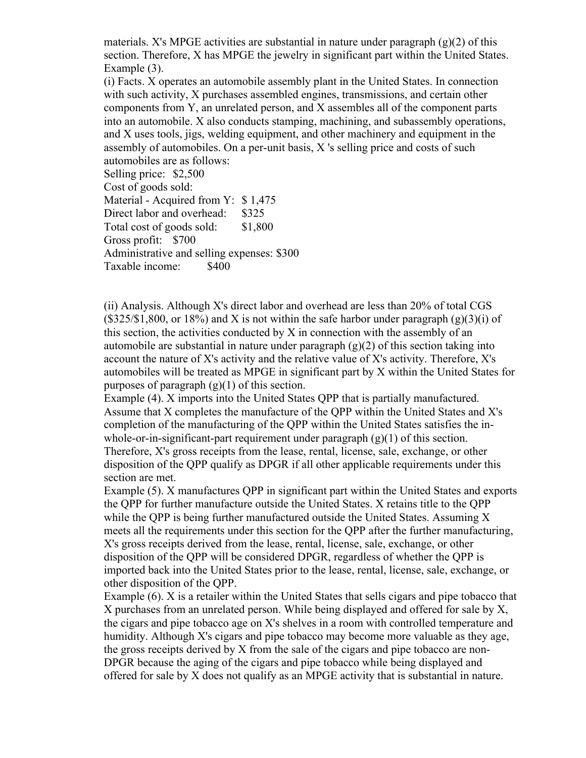materials. X's MPGE activities are substantial in nature under paragraph  $(g)(2)$  of this section. Therefore, X has MPGE the jewelry in significant part within the United States. Example (3).

(i) Facts. X operates an automobile assembly plant in the United States. In connection with such activity, X purchases assembled engines, transmissions, and certain other components from Y, an unrelated person, and X assembles all of the component parts into an automobile. X also conducts stamping, machining, and subassembly operations, and X uses tools, jigs, welding equipment, and other machinery and equipment in the assembly of automobiles. On a per-unit basis, X 's selling price and costs of such automobiles are as follows:

Selling price: \$2,500 Cost of goods sold: Material - Acquired from Y: \$1,475 Direct labor and overhead: \$325 Total cost of goods sold: \$1,800 Gross profit: \$700 Administrative and selling expenses: \$300 Taxable income: \$400

(ii) Analysis. Although X's direct labor and overhead are less than 20% of total CGS  $(\$325/\$1,800,$  or 18%) and X is not within the safe harbor under paragraph  $(g)(3)(i)$  of this section, the activities conducted by X in connection with the assembly of an automobile are substantial in nature under paragraph  $(g)(2)$  of this section taking into account the nature of X's activity and the relative value of X's activity. Therefore, X's automobiles will be treated as MPGE in significant part by X within the United States for purposes of paragraph  $(g)(1)$  of this section.

Example (4). X imports into the United States QPP that is partially manufactured. Assume that X completes the manufacture of the QPP within the United States and X's completion of the manufacturing of the QPP within the United States satisfies the inwhole-or-in-significant-part requirement under paragraph  $(g)(1)$  of this section. Therefore, X's gross receipts from the lease, rental, license, sale, exchange, or other disposition of the QPP qualify as DPGR if all other applicable requirements under this section are met.

Example (5). X manufactures QPP in significant part within the United States and exports the QPP for further manufacture outside the United States. X retains title to the QPP while the OPP is being further manufactured outside the United States. Assuming  $X$ meets all the requirements under this section for the QPP after the further manufacturing, X's gross receipts derived from the lease, rental, license, sale, exchange, or other disposition of the QPP will be considered DPGR, regardless of whether the QPP is imported back into the United States prior to the lease, rental, license, sale, exchange, or other disposition of the QPP.

Example (6). X is a retailer within the United States that sells cigars and pipe tobacco that X purchases from an unrelated person. While being displayed and offered for sale by X, the cigars and pipe tobacco age on X's shelves in a room with controlled temperature and humidity. Although X's cigars and pipe tobacco may become more valuable as they age, the gross receipts derived by X from the sale of the cigars and pipe tobacco are non-DPGR because the aging of the cigars and pipe tobacco while being displayed and offered for sale by X does not qualify as an MPGE activity that is substantial in nature.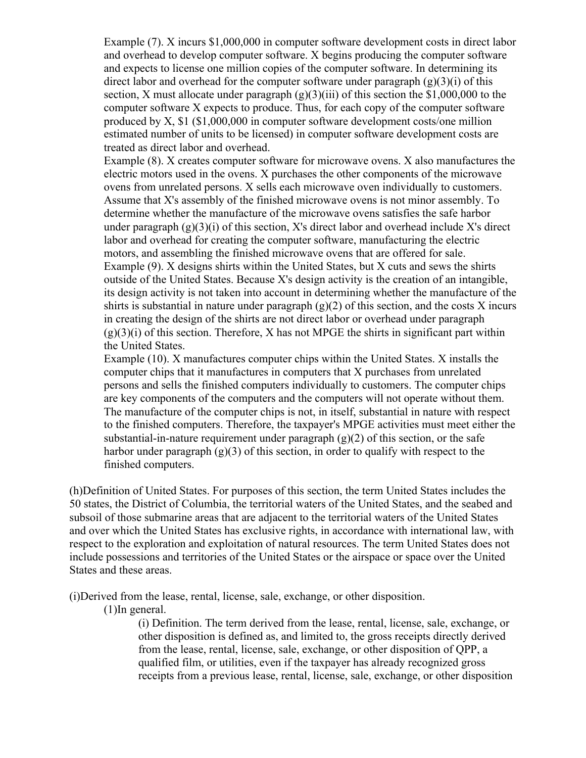Example (7). X incurs \$1,000,000 in computer software development costs in direct labor and overhead to develop computer software. X begins producing the computer software and expects to license one million copies of the computer software. In determining its direct labor and overhead for the computer software under paragraph  $(g)(3)(i)$  of this section, X must allocate under paragraph  $(g)(3)(iii)$  of this section the \$1,000,000 to the computer software X expects to produce. Thus, for each copy of the computer software produced by X, \$1 (\$1,000,000 in computer software development costs/one million estimated number of units to be licensed) in computer software development costs are treated as direct labor and overhead.

Example (8). X creates computer software for microwave ovens. X also manufactures the electric motors used in the ovens. X purchases the other components of the microwave ovens from unrelated persons. X sells each microwave oven individually to customers. Assume that X's assembly of the finished microwave ovens is not minor assembly. To determine whether the manufacture of the microwave ovens satisfies the safe harbor under paragraph  $(g)(3)(i)$  of this section, X's direct labor and overhead include X's direct labor and overhead for creating the computer software, manufacturing the electric motors, and assembling the finished microwave ovens that are offered for sale. Example (9). X designs shirts within the United States, but X cuts and sews the shirts outside of the United States. Because X's design activity is the creation of an intangible, its design activity is not taken into account in determining whether the manufacture of the shirts is substantial in nature under paragraph  $(g)(2)$  of this section, and the costs X incurs in creating the design of the shirts are not direct labor or overhead under paragraph  $(g)(3)(i)$  of this section. Therefore, X has not MPGE the shirts in significant part within the United States.

Example (10). X manufactures computer chips within the United States. X installs the computer chips that it manufactures in computers that X purchases from unrelated persons and sells the finished computers individually to customers. The computer chips are key components of the computers and the computers will not operate without them. The manufacture of the computer chips is not, in itself, substantial in nature with respect to the finished computers. Therefore, the taxpayer's MPGE activities must meet either the substantial-in-nature requirement under paragraph  $(g)(2)$  of this section, or the safe harbor under paragraph  $(g)(3)$  of this section, in order to qualify with respect to the finished computers.

(h)Definition of United States. For purposes of this section, the term United States includes the 50 states, the District of Columbia, the territorial waters of the United States, and the seabed and subsoil of those submarine areas that are adjacent to the territorial waters of the United States and over which the United States has exclusive rights, in accordance with international law, with respect to the exploration and exploitation of natural resources. The term United States does not include possessions and territories of the United States or the airspace or space over the United States and these areas.

(i)Derived from the lease, rental, license, sale, exchange, or other disposition.

(1)In general.

(i) Definition. The term derived from the lease, rental, license, sale, exchange, or other disposition is defined as, and limited to, the gross receipts directly derived from the lease, rental, license, sale, exchange, or other disposition of QPP, a qualified film, or utilities, even if the taxpayer has already recognized gross receipts from a previous lease, rental, license, sale, exchange, or other disposition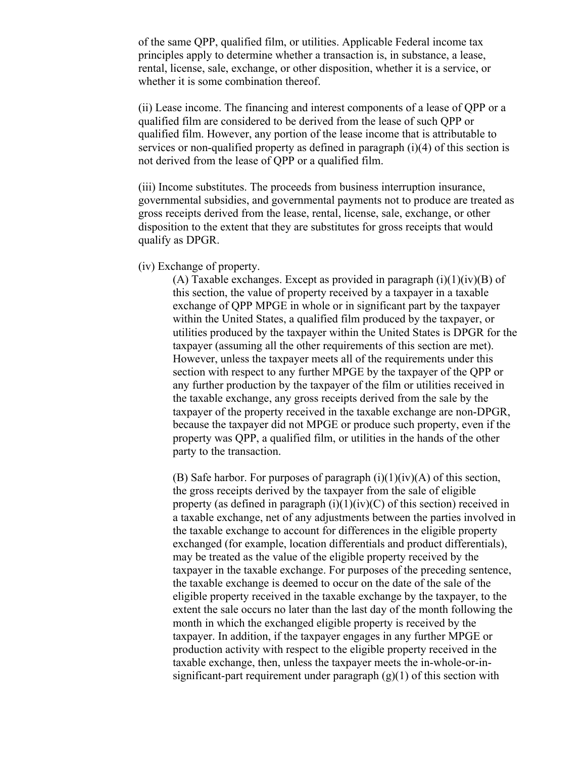of the same QPP, qualified film, or utilities. Applicable Federal income tax principles apply to determine whether a transaction is, in substance, a lease, rental, license, sale, exchange, or other disposition, whether it is a service, or whether it is some combination thereof.

(ii) Lease income. The financing and interest components of a lease of QPP or a qualified film are considered to be derived from the lease of such QPP or qualified film. However, any portion of the lease income that is attributable to services or non-qualified property as defined in paragraph (i)(4) of this section is not derived from the lease of QPP or a qualified film.

(iii) Income substitutes. The proceeds from business interruption insurance, governmental subsidies, and governmental payments not to produce are treated as gross receipts derived from the lease, rental, license, sale, exchange, or other disposition to the extent that they are substitutes for gross receipts that would qualify as DPGR.

(iv) Exchange of property.

(A) Taxable exchanges. Except as provided in paragraph  $(i)(1)(iv)(B)$  of this section, the value of property received by a taxpayer in a taxable exchange of QPP MPGE in whole or in significant part by the taxpayer within the United States, a qualified film produced by the taxpayer, or utilities produced by the taxpayer within the United States is DPGR for the taxpayer (assuming all the other requirements of this section are met). However, unless the taxpayer meets all of the requirements under this section with respect to any further MPGE by the taxpayer of the QPP or any further production by the taxpayer of the film or utilities received in the taxable exchange, any gross receipts derived from the sale by the taxpayer of the property received in the taxable exchange are non-DPGR, because the taxpayer did not MPGE or produce such property, even if the property was QPP, a qualified film, or utilities in the hands of the other party to the transaction.

(B) Safe harbor. For purposes of paragraph  $(i)(1)(iv)(A)$  of this section, the gross receipts derived by the taxpayer from the sale of eligible property (as defined in paragraph  $(i)(1)(iv)(C)$  of this section) received in a taxable exchange, net of any adjustments between the parties involved in the taxable exchange to account for differences in the eligible property exchanged (for example, location differentials and product differentials), may be treated as the value of the eligible property received by the taxpayer in the taxable exchange. For purposes of the preceding sentence, the taxable exchange is deemed to occur on the date of the sale of the eligible property received in the taxable exchange by the taxpayer, to the extent the sale occurs no later than the last day of the month following the month in which the exchanged eligible property is received by the taxpayer. In addition, if the taxpayer engages in any further MPGE or production activity with respect to the eligible property received in the taxable exchange, then, unless the taxpayer meets the in-whole-or-insignificant-part requirement under paragraph  $(g)(1)$  of this section with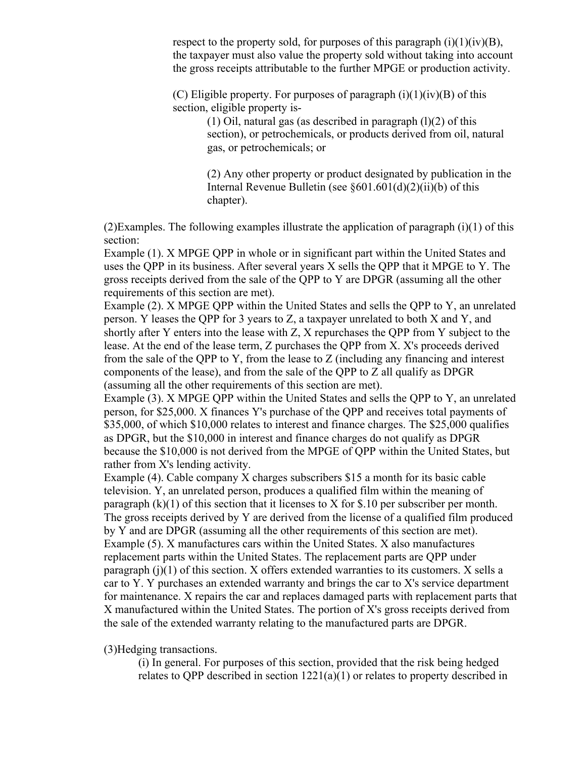respect to the property sold, for purposes of this paragraph  $(i)(1)(iv)(B)$ , the taxpayer must also value the property sold without taking into account the gross receipts attributable to the further MPGE or production activity.

(C) Eligible property. For purposes of paragraph  $(i)(1)(iv)(B)$  of this section, eligible property is-

> (1) Oil, natural gas (as described in paragraph  $(l)(2)$  of this section), or petrochemicals, or products derived from oil, natural gas, or petrochemicals; or

(2) Any other property or product designated by publication in the Internal Revenue Bulletin (see §601.601(d)(2)(ii)(b) of this chapter).

(2)Examples. The following examples illustrate the application of paragraph (i)(1) of this section:

Example (1). X MPGE QPP in whole or in significant part within the United States and uses the QPP in its business. After several years X sells the QPP that it MPGE to Y. The gross receipts derived from the sale of the QPP to Y are DPGR (assuming all the other requirements of this section are met).

Example (2). X MPGE QPP within the United States and sells the QPP to Y, an unrelated person. Y leases the QPP for 3 years to Z, a taxpayer unrelated to both X and Y, and shortly after Y enters into the lease with Z, X repurchases the QPP from Y subject to the lease. At the end of the lease term, Z purchases the QPP from X. X's proceeds derived from the sale of the QPP to Y, from the lease to Z (including any financing and interest components of the lease), and from the sale of the QPP to Z all qualify as DPGR (assuming all the other requirements of this section are met).

Example (3). X MPGE QPP within the United States and sells the QPP to Y, an unrelated person, for \$25,000. X finances Y's purchase of the QPP and receives total payments of \$35,000, of which \$10,000 relates to interest and finance charges. The \$25,000 qualifies as DPGR, but the \$10,000 in interest and finance charges do not qualify as DPGR because the \$10,000 is not derived from the MPGE of QPP within the United States, but rather from X's lending activity.

Example (4). Cable company X charges subscribers \$15 a month for its basic cable television. Y, an unrelated person, produces a qualified film within the meaning of paragraph  $(k)(1)$  of this section that it licenses to X for \$.10 per subscriber per month. The gross receipts derived by Y are derived from the license of a qualified film produced by Y and are DPGR (assuming all the other requirements of this section are met). Example (5). X manufactures cars within the United States. X also manufactures replacement parts within the United States. The replacement parts are QPP under paragraph  $(i)(1)$  of this section. X offers extended warranties to its customers. X sells a car to Y. Y purchases an extended warranty and brings the car to X's service department for maintenance. X repairs the car and replaces damaged parts with replacement parts that X manufactured within the United States. The portion of X's gross receipts derived from the sale of the extended warranty relating to the manufactured parts are DPGR.

(3)Hedging transactions.

(i) In general. For purposes of this section, provided that the risk being hedged relates to QPP described in section 1221(a)(1) or relates to property described in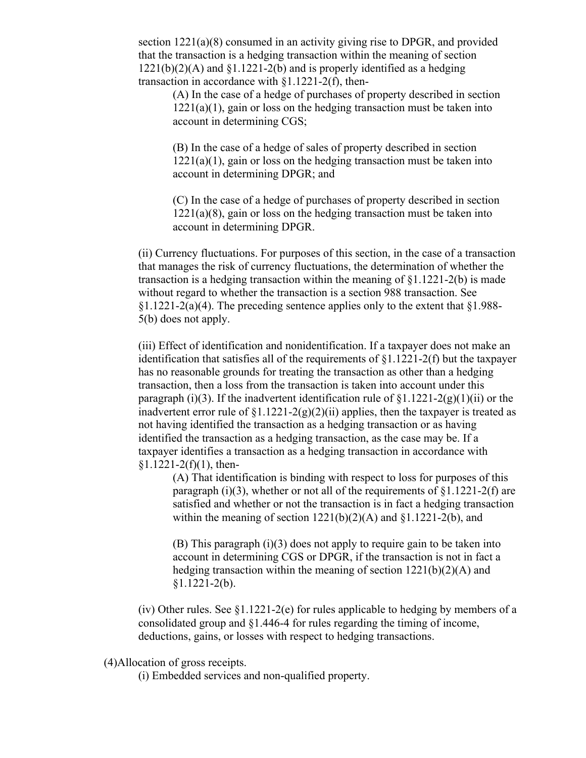section 1221(a)(8) consumed in an activity giving rise to DPGR, and provided that the transaction is a hedging transaction within the meaning of section  $1221(b)(2)(A)$  and  $\S1.1221-2(b)$  and is properly identified as a hedging transaction in accordance with §1.1221-2(f), then-

(A) In the case of a hedge of purchases of property described in section  $1221(a)(1)$ , gain or loss on the hedging transaction must be taken into account in determining CGS;

(B) In the case of a hedge of sales of property described in section  $1221(a)(1)$ , gain or loss on the hedging transaction must be taken into account in determining DPGR; and

(C) In the case of a hedge of purchases of property described in section  $1221(a)(8)$ , gain or loss on the hedging transaction must be taken into account in determining DPGR.

(ii) Currency fluctuations. For purposes of this section, in the case of a transaction that manages the risk of currency fluctuations, the determination of whether the transaction is a hedging transaction within the meaning of §1.1221-2(b) is made without regard to whether the transaction is a section 988 transaction. See  $\S1.1221-2(a)(4)$ . The preceding sentence applies only to the extent that  $\S1.988-$ 5(b) does not apply.

(iii) Effect of identification and nonidentification. If a taxpayer does not make an identification that satisfies all of the requirements of §1.1221-2(f) but the taxpayer has no reasonable grounds for treating the transaction as other than a hedging transaction, then a loss from the transaction is taken into account under this paragraph (i)(3). If the inadvertent identification rule of  $\S1.1221-2(g)(1)(ii)$  or the inadvertent error rule of  $\S1.1221-2(g)(2)(ii)$  applies, then the taxpayer is treated as not having identified the transaction as a hedging transaction or as having identified the transaction as a hedging transaction, as the case may be. If a taxpayer identifies a transaction as a hedging transaction in accordance with  $$1.1221-2(f)(1)$ , then-

(A) That identification is binding with respect to loss for purposes of this paragraph (i)(3), whether or not all of the requirements of  $\S1.1221-2(f)$  are satisfied and whether or not the transaction is in fact a hedging transaction within the meaning of section  $1221(b)(2)(A)$  and  $$1.1221-2(b)$ , and

(B) This paragraph (i)(3) does not apply to require gain to be taken into account in determining CGS or DPGR, if the transaction is not in fact a hedging transaction within the meaning of section 1221(b)(2)(A) and §1.1221-2(b).

(iv) Other rules. See  $\S1.1221-2(e)$  for rules applicable to hedging by members of a consolidated group and §1.446-4 for rules regarding the timing of income, deductions, gains, or losses with respect to hedging transactions.

(4)Allocation of gross receipts.

(i) Embedded services and non-qualified property.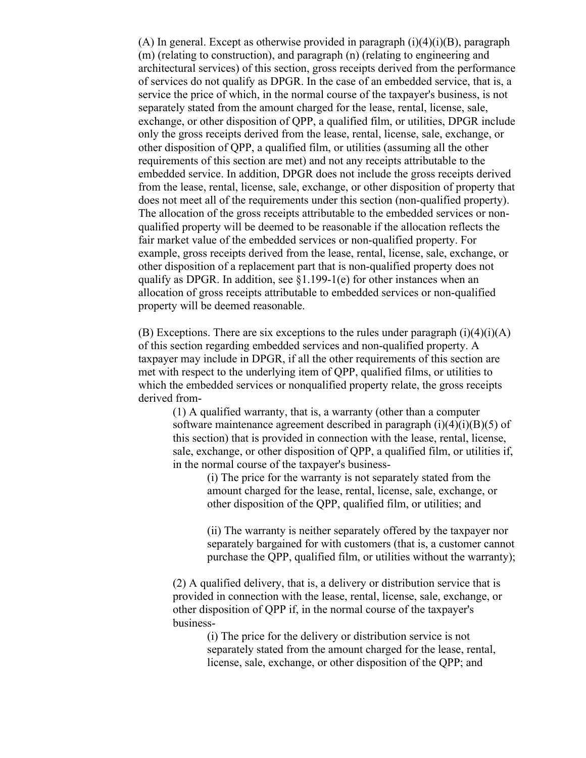(A) In general. Except as otherwise provided in paragraph  $(i)(4)(i)(B)$ , paragraph (m) (relating to construction), and paragraph (n) (relating to engineering and architectural services) of this section, gross receipts derived from the performance of services do not qualify as DPGR. In the case of an embedded service, that is, a service the price of which, in the normal course of the taxpayer's business, is not separately stated from the amount charged for the lease, rental, license, sale, exchange, or other disposition of QPP, a qualified film, or utilities, DPGR include only the gross receipts derived from the lease, rental, license, sale, exchange, or other disposition of QPP, a qualified film, or utilities (assuming all the other requirements of this section are met) and not any receipts attributable to the embedded service. In addition, DPGR does not include the gross receipts derived from the lease, rental, license, sale, exchange, or other disposition of property that does not meet all of the requirements under this section (non-qualified property). The allocation of the gross receipts attributable to the embedded services or nonqualified property will be deemed to be reasonable if the allocation reflects the fair market value of the embedded services or non-qualified property. For example, gross receipts derived from the lease, rental, license, sale, exchange, or other disposition of a replacement part that is non-qualified property does not qualify as DPGR. In addition, see  $\S1.199-1(e)$  for other instances when an allocation of gross receipts attributable to embedded services or non-qualified property will be deemed reasonable.

(B) Exceptions. There are six exceptions to the rules under paragraph  $(i)(4)(i)(A)$ of this section regarding embedded services and non-qualified property. A taxpayer may include in DPGR, if all the other requirements of this section are met with respect to the underlying item of QPP, qualified films, or utilities to which the embedded services or nonqualified property relate, the gross receipts derived from-

(1) A qualified warranty, that is, a warranty (other than a computer software maintenance agreement described in paragraph  $(i)(4)(i)(B)(5)$  of this section) that is provided in connection with the lease, rental, license, sale, exchange, or other disposition of QPP, a qualified film, or utilities if, in the normal course of the taxpayer's business-

> (i) The price for the warranty is not separately stated from the amount charged for the lease, rental, license, sale, exchange, or other disposition of the QPP, qualified film, or utilities; and

(ii) The warranty is neither separately offered by the taxpayer nor separately bargained for with customers (that is, a customer cannot purchase the QPP, qualified film, or utilities without the warranty);

(2) A qualified delivery, that is, a delivery or distribution service that is provided in connection with the lease, rental, license, sale, exchange, or other disposition of QPP if, in the normal course of the taxpayer's business-

> (i) The price for the delivery or distribution service is not separately stated from the amount charged for the lease, rental, license, sale, exchange, or other disposition of the QPP; and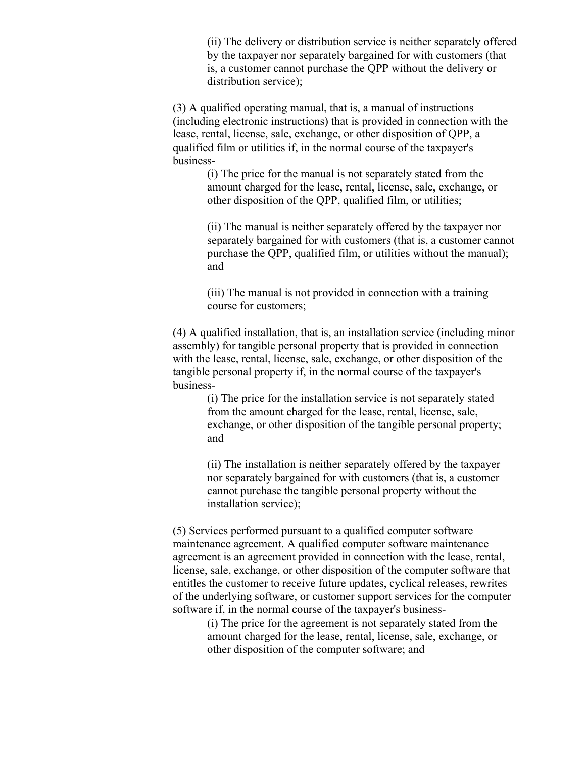(ii) The delivery or distribution service is neither separately offered by the taxpayer nor separately bargained for with customers (that is, a customer cannot purchase the QPP without the delivery or distribution service);

(3) A qualified operating manual, that is, a manual of instructions (including electronic instructions) that is provided in connection with the lease, rental, license, sale, exchange, or other disposition of QPP, a qualified film or utilities if, in the normal course of the taxpayer's business-

> (i) The price for the manual is not separately stated from the amount charged for the lease, rental, license, sale, exchange, or other disposition of the QPP, qualified film, or utilities;

(ii) The manual is neither separately offered by the taxpayer nor separately bargained for with customers (that is, a customer cannot purchase the QPP, qualified film, or utilities without the manual); and

(iii) The manual is not provided in connection with a training course for customers;

(4) A qualified installation, that is, an installation service (including minor assembly) for tangible personal property that is provided in connection with the lease, rental, license, sale, exchange, or other disposition of the tangible personal property if, in the normal course of the taxpayer's business-

> (i) The price for the installation service is not separately stated from the amount charged for the lease, rental, license, sale, exchange, or other disposition of the tangible personal property; and

> (ii) The installation is neither separately offered by the taxpayer nor separately bargained for with customers (that is, a customer cannot purchase the tangible personal property without the installation service);

(5) Services performed pursuant to a qualified computer software maintenance agreement. A qualified computer software maintenance agreement is an agreement provided in connection with the lease, rental, license, sale, exchange, or other disposition of the computer software that entitles the customer to receive future updates, cyclical releases, rewrites of the underlying software, or customer support services for the computer software if, in the normal course of the taxpayer's business-

> (i) The price for the agreement is not separately stated from the amount charged for the lease, rental, license, sale, exchange, or other disposition of the computer software; and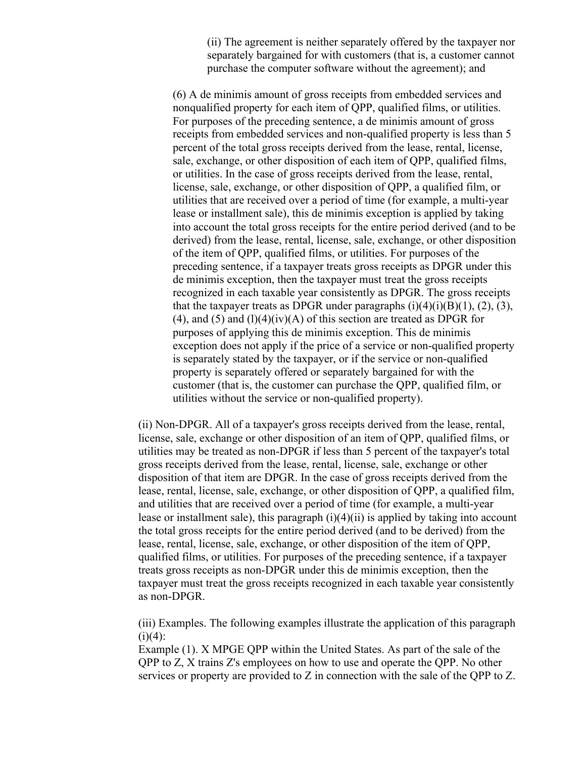(ii) The agreement is neither separately offered by the taxpayer nor separately bargained for with customers (that is, a customer cannot purchase the computer software without the agreement); and

(6) A de minimis amount of gross receipts from embedded services and nonqualified property for each item of QPP, qualified films, or utilities. For purposes of the preceding sentence, a de minimis amount of gross receipts from embedded services and non-qualified property is less than 5 percent of the total gross receipts derived from the lease, rental, license, sale, exchange, or other disposition of each item of QPP, qualified films, or utilities. In the case of gross receipts derived from the lease, rental, license, sale, exchange, or other disposition of QPP, a qualified film, or utilities that are received over a period of time (for example, a multi-year lease or installment sale), this de minimis exception is applied by taking into account the total gross receipts for the entire period derived (and to be derived) from the lease, rental, license, sale, exchange, or other disposition of the item of QPP, qualified films, or utilities. For purposes of the preceding sentence, if a taxpayer treats gross receipts as DPGR under this de minimis exception, then the taxpayer must treat the gross receipts recognized in each taxable year consistently as DPGR. The gross receipts that the taxpayer treats as DPGR under paragraphs  $(i)(4)(i)(B)(1)$ ,  $(2)$ ,  $(3)$ , (4), and (5) and (1)(4)(iv)(A) of this section are treated as DPGR for purposes of applying this de minimis exception. This de minimis exception does not apply if the price of a service or non-qualified property is separately stated by the taxpayer, or if the service or non-qualified property is separately offered or separately bargained for with the customer (that is, the customer can purchase the QPP, qualified film, or utilities without the service or non-qualified property).

(ii) Non-DPGR. All of a taxpayer's gross receipts derived from the lease, rental, license, sale, exchange or other disposition of an item of QPP, qualified films, or utilities may be treated as non-DPGR if less than 5 percent of the taxpayer's total gross receipts derived from the lease, rental, license, sale, exchange or other disposition of that item are DPGR. In the case of gross receipts derived from the lease, rental, license, sale, exchange, or other disposition of QPP, a qualified film, and utilities that are received over a period of time (for example, a multi-year lease or installment sale), this paragraph  $(i)(4)(ii)$  is applied by taking into account the total gross receipts for the entire period derived (and to be derived) from the lease, rental, license, sale, exchange, or other disposition of the item of QPP, qualified films, or utilities. For purposes of the preceding sentence, if a taxpayer treats gross receipts as non-DPGR under this de minimis exception, then the taxpayer must treat the gross receipts recognized in each taxable year consistently as non-DPGR.

(iii) Examples. The following examples illustrate the application of this paragraph  $(i)(4)$ :

Example (1). X MPGE QPP within the United States. As part of the sale of the QPP to Z, X trains Z's employees on how to use and operate the QPP. No other services or property are provided to Z in connection with the sale of the QPP to Z.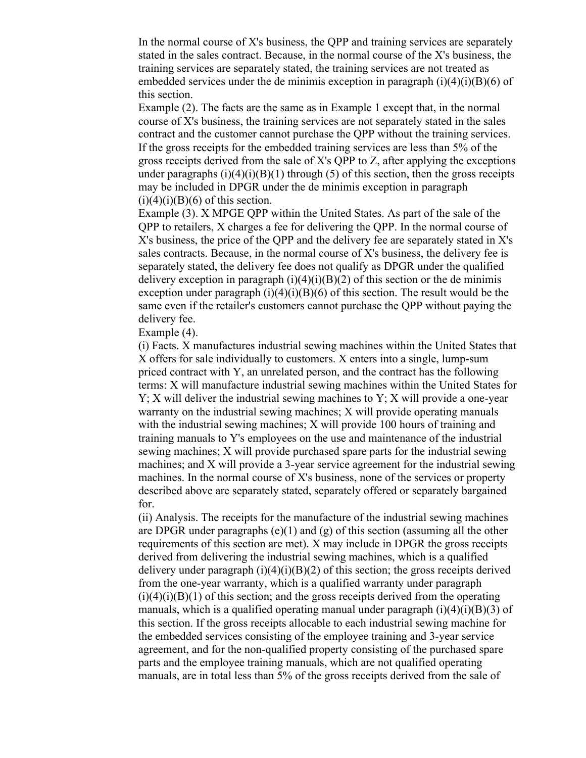In the normal course of  $X$ 's business, the QPP and training services are separately stated in the sales contract. Because, in the normal course of the X's business, the training services are separately stated, the training services are not treated as embedded services under the de minimis exception in paragraph  $(i)(4)(i)(B)(6)$  of this section.

Example (2). The facts are the same as in Example 1 except that, in the normal course of X's business, the training services are not separately stated in the sales contract and the customer cannot purchase the QPP without the training services. If the gross receipts for the embedded training services are less than 5% of the gross receipts derived from the sale of X's QPP to Z, after applying the exceptions under paragraphs  $(i)(4)(i)(B)(1)$  through (5) of this section, then the gross receipts may be included in DPGR under the de minimis exception in paragraph  $(i)(4)(i)(B)(6)$  of this section.

Example (3). X MPGE QPP within the United States. As part of the sale of the QPP to retailers, X charges a fee for delivering the QPP. In the normal course of X's business, the price of the QPP and the delivery fee are separately stated in X's sales contracts. Because, in the normal course of X's business, the delivery fee is separately stated, the delivery fee does not qualify as DPGR under the qualified delivery exception in paragraph  $(i)(4)(i)(B)(2)$  of this section or the de minimis exception under paragraph  $(i)(4)(i)(B)(6)$  of this section. The result would be the same even if the retailer's customers cannot purchase the QPP without paying the delivery fee.

Example (4).

(i) Facts. X manufactures industrial sewing machines within the United States that X offers for sale individually to customers. X enters into a single, lump-sum priced contract with Y, an unrelated person, and the contract has the following terms: X will manufacture industrial sewing machines within the United States for  $Y$ ; X will deliver the industrial sewing machines to  $Y$ ; X will provide a one-year warranty on the industrial sewing machines; X will provide operating manuals with the industrial sewing machines; X will provide 100 hours of training and training manuals to Y's employees on the use and maintenance of the industrial sewing machines; X will provide purchased spare parts for the industrial sewing machines; and X will provide a 3-year service agreement for the industrial sewing machines. In the normal course of X's business, none of the services or property described above are separately stated, separately offered or separately bargained for.

(ii) Analysis. The receipts for the manufacture of the industrial sewing machines are DPGR under paragraphs (e)(1) and (g) of this section (assuming all the other requirements of this section are met). X may include in DPGR the gross receipts derived from delivering the industrial sewing machines, which is a qualified delivery under paragraph  $(i)(4)(i)(B)(2)$  of this section; the gross receipts derived from the one-year warranty, which is a qualified warranty under paragraph  $(i)(4)(i)(B)(1)$  of this section; and the gross receipts derived from the operating manuals, which is a qualified operating manual under paragraph  $(i)(4)(i)(B)(3)$  of this section. If the gross receipts allocable to each industrial sewing machine for the embedded services consisting of the employee training and 3-year service agreement, and for the non-qualified property consisting of the purchased spare parts and the employee training manuals, which are not qualified operating manuals, are in total less than 5% of the gross receipts derived from the sale of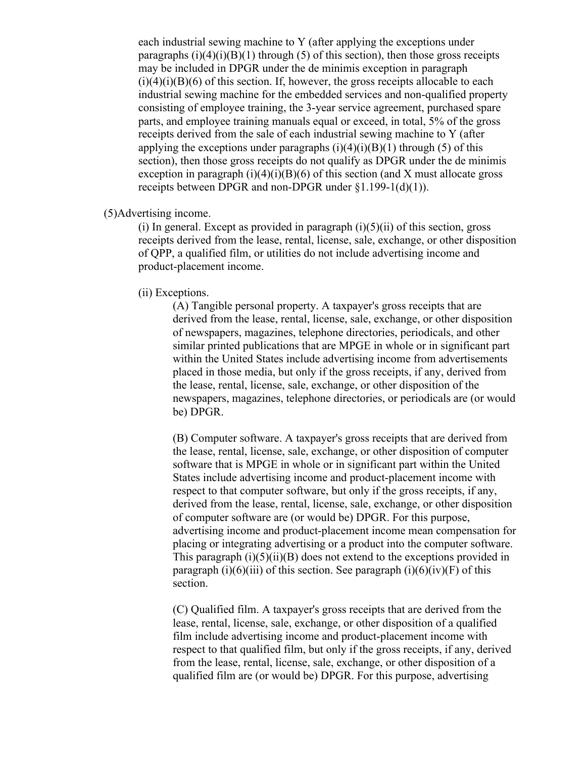each industrial sewing machine to Y (after applying the exceptions under paragraphs  $(i)(4)(i)(B)(1)$  through (5) of this section), then those gross receipts may be included in DPGR under the de minimis exception in paragraph  $(i)(4)(i)(B)(6)$  of this section. If, however, the gross receipts allocable to each industrial sewing machine for the embedded services and non-qualified property consisting of employee training, the 3-year service agreement, purchased spare parts, and employee training manuals equal or exceed, in total, 5% of the gross receipts derived from the sale of each industrial sewing machine to Y (after applying the exceptions under paragraphs  $(i)(4)(i)(B)(1)$  through (5) of this section), then those gross receipts do not qualify as DPGR under the de minimis exception in paragraph  $(i)(4)(i)(B)(6)$  of this section (and X must allocate gross receipts between DPGR and non-DPGR under §1.199-1(d)(1)).

(5)Advertising income.

(i) In general. Except as provided in paragraph  $(i)(5)(ii)$  of this section, gross receipts derived from the lease, rental, license, sale, exchange, or other disposition of QPP, a qualified film, or utilities do not include advertising income and product-placement income.

#### (ii) Exceptions.

(A) Tangible personal property. A taxpayer's gross receipts that are derived from the lease, rental, license, sale, exchange, or other disposition of newspapers, magazines, telephone directories, periodicals, and other similar printed publications that are MPGE in whole or in significant part within the United States include advertising income from advertisements placed in those media, but only if the gross receipts, if any, derived from the lease, rental, license, sale, exchange, or other disposition of the newspapers, magazines, telephone directories, or periodicals are (or would be) DPGR.

(B) Computer software. A taxpayer's gross receipts that are derived from the lease, rental, license, sale, exchange, or other disposition of computer software that is MPGE in whole or in significant part within the United States include advertising income and product-placement income with respect to that computer software, but only if the gross receipts, if any, derived from the lease, rental, license, sale, exchange, or other disposition of computer software are (or would be) DPGR. For this purpose, advertising income and product-placement income mean compensation for placing or integrating advertising or a product into the computer software. This paragraph  $(i)(5)(ii)(B)$  does not extend to the exceptions provided in paragraph (i)(6)(iii) of this section. See paragraph (i)(6)(iv)(F) of this section.

(C) Qualified film. A taxpayer's gross receipts that are derived from the lease, rental, license, sale, exchange, or other disposition of a qualified film include advertising income and product-placement income with respect to that qualified film, but only if the gross receipts, if any, derived from the lease, rental, license, sale, exchange, or other disposition of a qualified film are (or would be) DPGR. For this purpose, advertising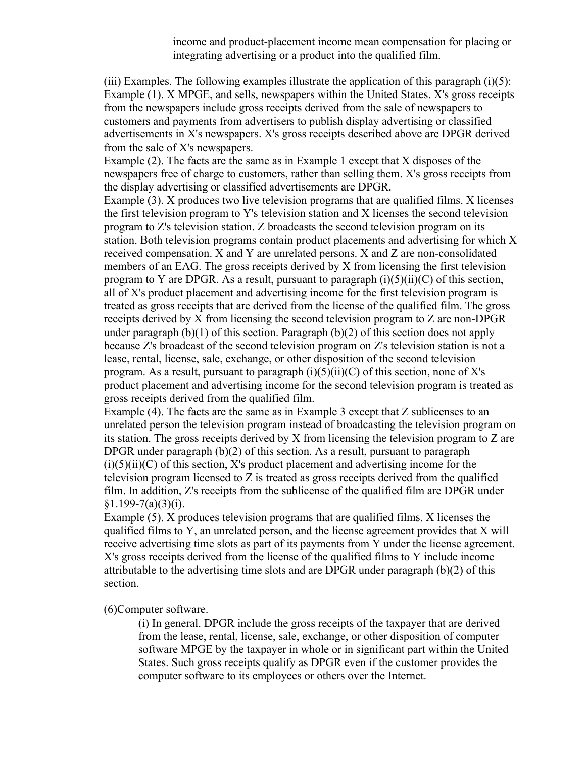income and product-placement income mean compensation for placing or integrating advertising or a product into the qualified film.

(iii) Examples. The following examples illustrate the application of this paragraph  $(i)(5)$ : Example (1). X MPGE, and sells, newspapers within the United States. X's gross receipts from the newspapers include gross receipts derived from the sale of newspapers to customers and payments from advertisers to publish display advertising or classified advertisements in X's newspapers. X's gross receipts described above are DPGR derived from the sale of X's newspapers.

Example (2). The facts are the same as in Example 1 except that X disposes of the newspapers free of charge to customers, rather than selling them. X's gross receipts from the display advertising or classified advertisements are DPGR.

Example (3). X produces two live television programs that are qualified films. X licenses the first television program to Y's television station and X licenses the second television program to Z's television station. Z broadcasts the second television program on its station. Both television programs contain product placements and advertising for which X received compensation. X and Y are unrelated persons. X and Z are non-consolidated members of an EAG. The gross receipts derived by X from licensing the first television program to Y are DPGR. As a result, pursuant to paragraph  $(i)(5)(ii)(C)$  of this section, all of X's product placement and advertising income for the first television program is treated as gross receipts that are derived from the license of the qualified film. The gross receipts derived by X from licensing the second television program to Z are non-DPGR under paragraph (b)(1) of this section. Paragraph (b)(2) of this section does not apply because Z's broadcast of the second television program on Z's television station is not a lease, rental, license, sale, exchange, or other disposition of the second television program. As a result, pursuant to paragraph  $(i)(5)(ii)(C)$  of this section, none of X's product placement and advertising income for the second television program is treated as gross receipts derived from the qualified film.

Example (4). The facts are the same as in Example 3 except that Z sublicenses to an unrelated person the television program instead of broadcasting the television program on its station. The gross receipts derived by X from licensing the television program to Z are DPGR under paragraph (b)(2) of this section. As a result, pursuant to paragraph  $(i)(5)(ii)(C)$  of this section, X's product placement and advertising income for the television program licensed to Z is treated as gross receipts derived from the qualified film. In addition, Z's receipts from the sublicense of the qualified film are DPGR under  $§1.199-7(a)(3)(i).$ 

Example (5). X produces television programs that are qualified films. X licenses the qualified films to Y, an unrelated person, and the license agreement provides that X will receive advertising time slots as part of its payments from Y under the license agreement. X's gross receipts derived from the license of the qualified films to Y include income attributable to the advertising time slots and are DPGR under paragraph (b)(2) of this section.

(6)Computer software.

(i) In general. DPGR include the gross receipts of the taxpayer that are derived from the lease, rental, license, sale, exchange, or other disposition of computer software MPGE by the taxpayer in whole or in significant part within the United States. Such gross receipts qualify as DPGR even if the customer provides the computer software to its employees or others over the Internet.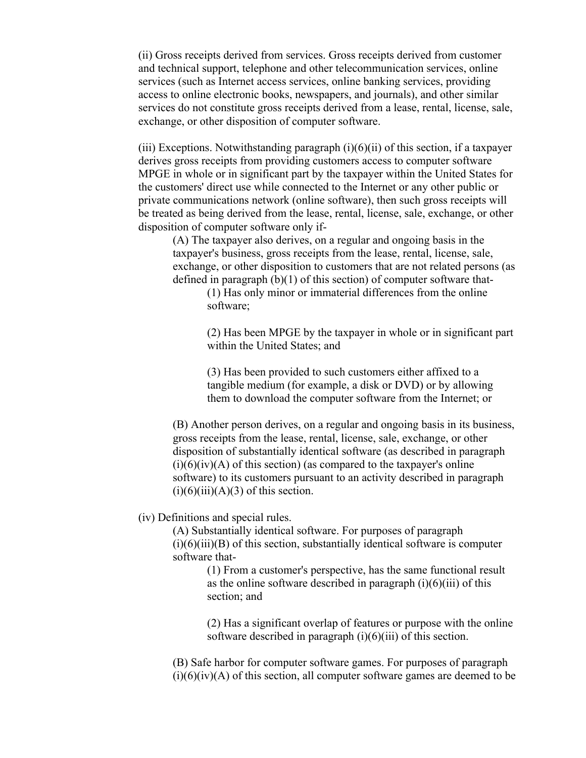(ii) Gross receipts derived from services. Gross receipts derived from customer and technical support, telephone and other telecommunication services, online services (such as Internet access services, online banking services, providing access to online electronic books, newspapers, and journals), and other similar services do not constitute gross receipts derived from a lease, rental, license, sale, exchange, or other disposition of computer software.

(iii) Exceptions. Notwithstanding paragraph  $(i)(6)(ii)$  of this section, if a taxpayer derives gross receipts from providing customers access to computer software MPGE in whole or in significant part by the taxpayer within the United States for the customers' direct use while connected to the Internet or any other public or private communications network (online software), then such gross receipts will be treated as being derived from the lease, rental, license, sale, exchange, or other disposition of computer software only if-

(A) The taxpayer also derives, on a regular and ongoing basis in the taxpayer's business, gross receipts from the lease, rental, license, sale, exchange, or other disposition to customers that are not related persons (as defined in paragraph (b)(1) of this section) of computer software that-

> (1) Has only minor or immaterial differences from the online software;

(2) Has been MPGE by the taxpayer in whole or in significant part within the United States; and

(3) Has been provided to such customers either affixed to a tangible medium (for example, a disk or DVD) or by allowing them to download the computer software from the Internet; or

(B) Another person derives, on a regular and ongoing basis in its business, gross receipts from the lease, rental, license, sale, exchange, or other disposition of substantially identical software (as described in paragraph  $(i)(6)(iv)(A)$  of this section) (as compared to the taxpayer's online software) to its customers pursuant to an activity described in paragraph  $(i)(6)(iii)(A)(3)$  of this section.

### (iv) Definitions and special rules.

(A) Substantially identical software. For purposes of paragraph  $(i)(6)(iii)(B)$  of this section, substantially identical software is computer software that-

> (1) From a customer's perspective, has the same functional result as the online software described in paragraph  $(i)(6)(iii)$  of this section; and

(2) Has a significant overlap of features or purpose with the online software described in paragraph (i)(6)(iii) of this section.

(B) Safe harbor for computer software games. For purposes of paragraph  $(i)(6)(iv)(A)$  of this section, all computer software games are deemed to be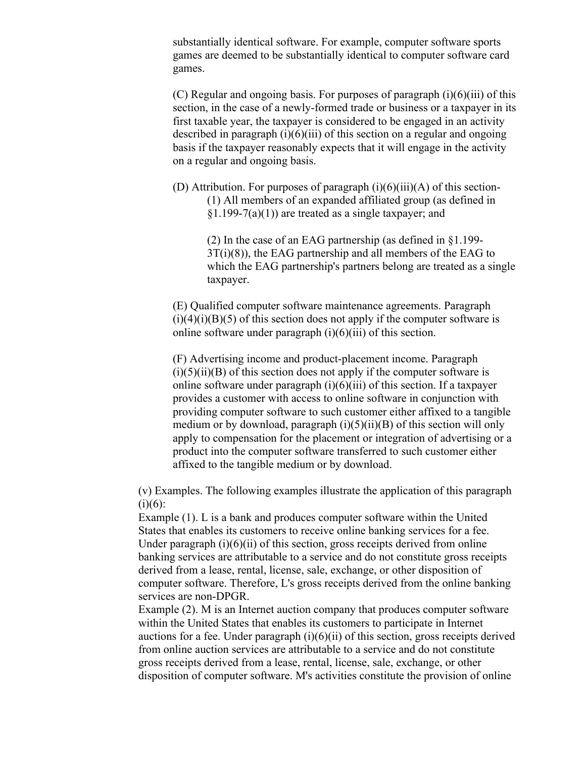substantially identical software. For example, computer software sports games are deemed to be substantially identical to computer software card games.

(C) Regular and ongoing basis. For purposes of paragraph (i)(6)(iii) of this section, in the case of a newly-formed trade or business or a taxpayer in its first taxable year, the taxpayer is considered to be engaged in an activity described in paragraph  $(i)(6)(iii)$  of this section on a regular and ongoing basis if the taxpayer reasonably expects that it will engage in the activity on a regular and ongoing basis.

(D) Attribution. For purposes of paragraph  $(i)(6)(iii)(A)$  of this section-(1) All members of an expanded affiliated group (as defined in  $\S1.199-7(a)(1)$  are treated as a single taxpayer; and

> (2) In the case of an EAG partnership (as defined in §1.199- 3T(i)(8)), the EAG partnership and all members of the EAG to which the EAG partnership's partners belong are treated as a single taxpayer.

(E) Qualified computer software maintenance agreements. Paragraph  $(i)(4)(i)(B)(5)$  of this section does not apply if the computer software is online software under paragraph (i)(6)(iii) of this section.

(F) Advertising income and product-placement income. Paragraph  $(i)(5)(ii)(B)$  of this section does not apply if the computer software is online software under paragraph  $(i)(6)(iii)$  of this section. If a taxpayer provides a customer with access to online software in conjunction with providing computer software to such customer either affixed to a tangible medium or by download, paragraph  $(i)(5)(ii)(B)$  of this section will only apply to compensation for the placement or integration of advertising or a product into the computer software transferred to such customer either affixed to the tangible medium or by download.

(v) Examples. The following examples illustrate the application of this paragraph  $(i)(6)$ :

Example (1). L is a bank and produces computer software within the United States that enables its customers to receive online banking services for a fee. Under paragraph  $(i)(6)(ii)$  of this section, gross receipts derived from online banking services are attributable to a service and do not constitute gross receipts derived from a lease, rental, license, sale, exchange, or other disposition of computer software. Therefore, L's gross receipts derived from the online banking services are non-DPGR.

Example (2). M is an Internet auction company that produces computer software within the United States that enables its customers to participate in Internet auctions for a fee. Under paragraph  $(i)(6)(ii)$  of this section, gross receipts derived from online auction services are attributable to a service and do not constitute gross receipts derived from a lease, rental, license, sale, exchange, or other disposition of computer software. M's activities constitute the provision of online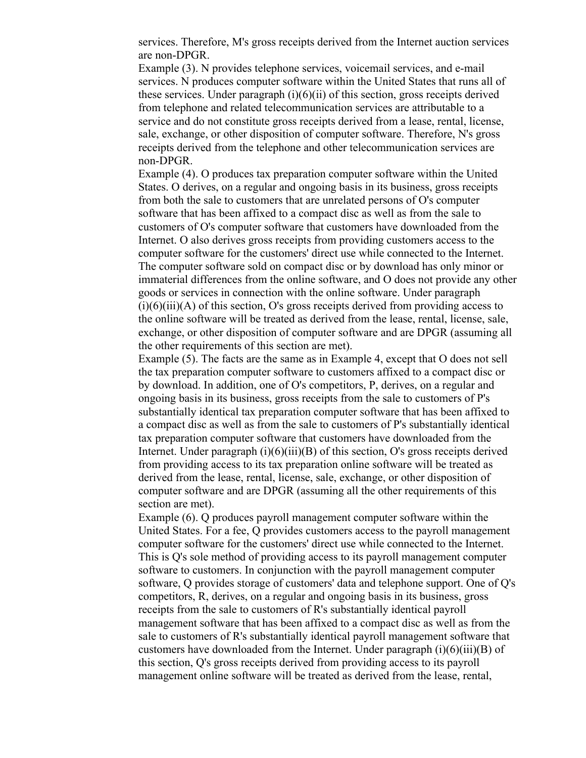services. Therefore, M's gross receipts derived from the Internet auction services are non-DPGR.

Example (3). N provides telephone services, voicemail services, and e-mail services. N produces computer software within the United States that runs all of these services. Under paragraph (i)(6)(ii) of this section, gross receipts derived from telephone and related telecommunication services are attributable to a service and do not constitute gross receipts derived from a lease, rental, license, sale, exchange, or other disposition of computer software. Therefore, N's gross receipts derived from the telephone and other telecommunication services are non-DPGR.

Example (4). O produces tax preparation computer software within the United States. O derives, on a regular and ongoing basis in its business, gross receipts from both the sale to customers that are unrelated persons of O's computer software that has been affixed to a compact disc as well as from the sale to customers of O's computer software that customers have downloaded from the Internet. O also derives gross receipts from providing customers access to the computer software for the customers' direct use while connected to the Internet. The computer software sold on compact disc or by download has only minor or immaterial differences from the online software, and O does not provide any other goods or services in connection with the online software. Under paragraph  $(i)(6)(iii)(A)$  of this section, O's gross receipts derived from providing access to the online software will be treated as derived from the lease, rental, license, sale, exchange, or other disposition of computer software and are DPGR (assuming all the other requirements of this section are met).

Example (5). The facts are the same as in Example 4, except that O does not sell the tax preparation computer software to customers affixed to a compact disc or by download. In addition, one of O's competitors, P, derives, on a regular and ongoing basis in its business, gross receipts from the sale to customers of P's substantially identical tax preparation computer software that has been affixed to a compact disc as well as from the sale to customers of P's substantially identical tax preparation computer software that customers have downloaded from the Internet. Under paragraph  $(i)(6)(iii)(B)$  of this section, O's gross receipts derived from providing access to its tax preparation online software will be treated as derived from the lease, rental, license, sale, exchange, or other disposition of computer software and are DPGR (assuming all the other requirements of this section are met).

Example (6). Q produces payroll management computer software within the United States. For a fee, Q provides customers access to the payroll management computer software for the customers' direct use while connected to the Internet. This is Q's sole method of providing access to its payroll management computer software to customers. In conjunction with the payroll management computer software, Q provides storage of customers' data and telephone support. One of Q's competitors, R, derives, on a regular and ongoing basis in its business, gross receipts from the sale to customers of R's substantially identical payroll management software that has been affixed to a compact disc as well as from the sale to customers of R's substantially identical payroll management software that customers have downloaded from the Internet. Under paragraph  $(i)(6)(iii)(B)$  of this section, Q's gross receipts derived from providing access to its payroll management online software will be treated as derived from the lease, rental,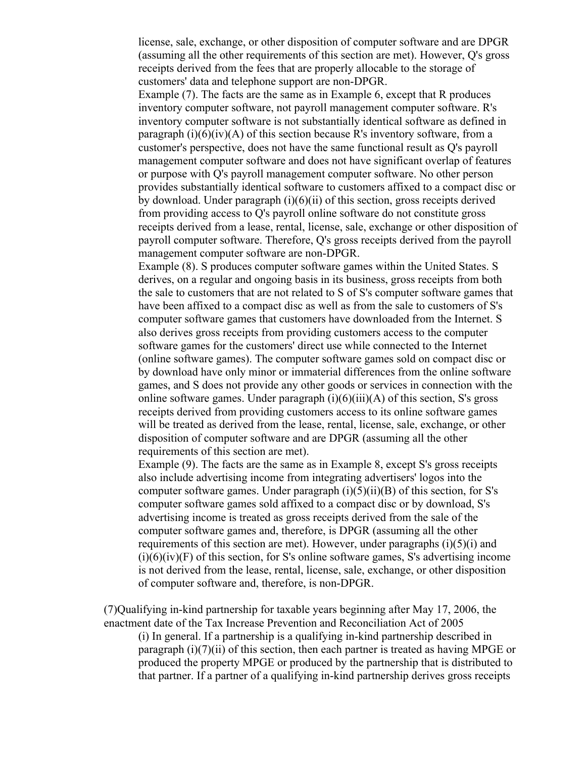license, sale, exchange, or other disposition of computer software and are DPGR (assuming all the other requirements of this section are met). However, Q's gross receipts derived from the fees that are properly allocable to the storage of customers' data and telephone support are non-DPGR.

Example (7). The facts are the same as in Example 6, except that R produces inventory computer software, not payroll management computer software. R's inventory computer software is not substantially identical software as defined in paragraph  $(i)(6)(iv)(A)$  of this section because R's inventory software, from a customer's perspective, does not have the same functional result as Q's payroll management computer software and does not have significant overlap of features or purpose with Q's payroll management computer software. No other person provides substantially identical software to customers affixed to a compact disc or by download. Under paragraph (i)(6)(ii) of this section, gross receipts derived from providing access to Q's payroll online software do not constitute gross receipts derived from a lease, rental, license, sale, exchange or other disposition of payroll computer software. Therefore, Q's gross receipts derived from the payroll management computer software are non-DPGR.

Example (8). S produces computer software games within the United States. S derives, on a regular and ongoing basis in its business, gross receipts from both the sale to customers that are not related to S of S's computer software games that have been affixed to a compact disc as well as from the sale to customers of S's computer software games that customers have downloaded from the Internet. S also derives gross receipts from providing customers access to the computer software games for the customers' direct use while connected to the Internet (online software games). The computer software games sold on compact disc or by download have only minor or immaterial differences from the online software games, and S does not provide any other goods or services in connection with the online software games. Under paragraph  $(i)(6)(iii)(A)$  of this section, S's gross receipts derived from providing customers access to its online software games will be treated as derived from the lease, rental, license, sale, exchange, or other disposition of computer software and are DPGR (assuming all the other requirements of this section are met).

Example (9). The facts are the same as in Example 8, except S's gross receipts also include advertising income from integrating advertisers' logos into the computer software games. Under paragraph  $(i)(5)(ii)(B)$  of this section, for S's computer software games sold affixed to a compact disc or by download, S's advertising income is treated as gross receipts derived from the sale of the computer software games and, therefore, is DPGR (assuming all the other requirements of this section are met). However, under paragraphs  $(i)(5)(i)$  and  $(i)(6)(iv)(F)$  of this section, for S's online software games, S's advertising income is not derived from the lease, rental, license, sale, exchange, or other disposition of computer software and, therefore, is non-DPGR.

(7)Qualifying in-kind partnership for taxable years beginning after May 17, 2006, the enactment date of the Tax Increase Prevention and Reconciliation Act of 2005

(i) In general. If a partnership is a qualifying in-kind partnership described in paragraph  $(i)(7)(ii)$  of this section, then each partner is treated as having MPGE or produced the property MPGE or produced by the partnership that is distributed to that partner. If a partner of a qualifying in-kind partnership derives gross receipts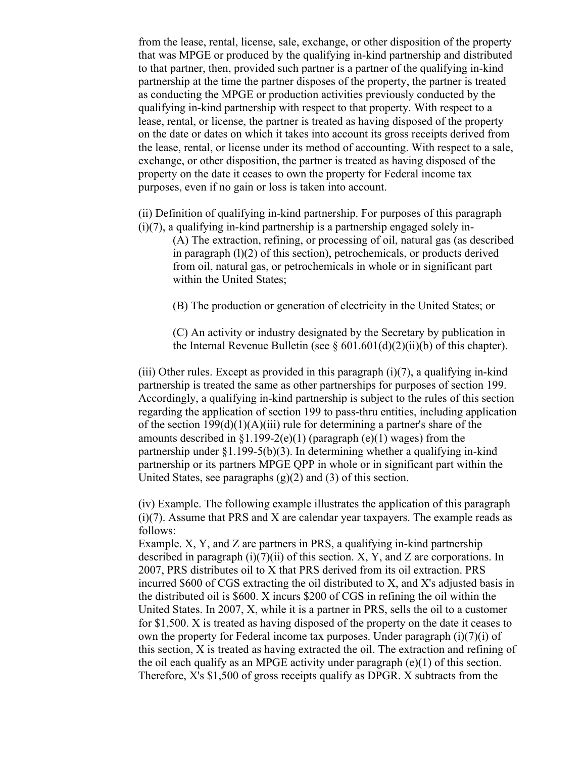from the lease, rental, license, sale, exchange, or other disposition of the property that was MPGE or produced by the qualifying in-kind partnership and distributed to that partner, then, provided such partner is a partner of the qualifying in-kind partnership at the time the partner disposes of the property, the partner is treated as conducting the MPGE or production activities previously conducted by the qualifying in-kind partnership with respect to that property. With respect to a lease, rental, or license, the partner is treated as having disposed of the property on the date or dates on which it takes into account its gross receipts derived from the lease, rental, or license under its method of accounting. With respect to a sale, exchange, or other disposition, the partner is treated as having disposed of the property on the date it ceases to own the property for Federal income tax purposes, even if no gain or loss is taken into account.

(ii) Definition of qualifying in-kind partnership. For purposes of this paragraph  $(i)(7)$ , a qualifying in-kind partnership is a partnership engaged solely in-

(A) The extraction, refining, or processing of oil, natural gas (as described in paragraph (l)(2) of this section), petrochemicals, or products derived from oil, natural gas, or petrochemicals in whole or in significant part within the United States;

(B) The production or generation of electricity in the United States; or

(C) An activity or industry designated by the Secretary by publication in the Internal Revenue Bulletin (see  $\S 601.601(d)(2)(ii)(b)$  of this chapter).

(iii) Other rules. Except as provided in this paragraph (i)(7), a qualifying in-kind partnership is treated the same as other partnerships for purposes of section 199. Accordingly, a qualifying in-kind partnership is subject to the rules of this section regarding the application of section 199 to pass-thru entities, including application of the section  $199(d)(1)(A)(iii)$  rule for determining a partner's share of the amounts described in  $\S1.199-2(e)(1)$  (paragraph (e)(1) wages) from the partnership under §1.199-5(b)(3). In determining whether a qualifying in-kind partnership or its partners MPGE QPP in whole or in significant part within the United States, see paragraphs (g)(2) and (3) of this section.

(iv) Example. The following example illustrates the application of this paragraph (i)(7). Assume that PRS and X are calendar year taxpayers. The example reads as follows:

Example. X, Y, and Z are partners in PRS, a qualifying in-kind partnership described in paragraph  $(i)(7)(ii)$  of this section. X, Y, and Z are corporations. In 2007, PRS distributes oil to X that PRS derived from its oil extraction. PRS incurred \$600 of CGS extracting the oil distributed to X, and X's adjusted basis in the distributed oil is \$600. X incurs \$200 of CGS in refining the oil within the United States. In 2007, X, while it is a partner in PRS, sells the oil to a customer for \$1,500. X is treated as having disposed of the property on the date it ceases to own the property for Federal income tax purposes. Under paragraph  $(i)(7)(i)$  of this section, X is treated as having extracted the oil. The extraction and refining of the oil each qualify as an MPGE activity under paragraph (e)(1) of this section. Therefore, X's \$1,500 of gross receipts qualify as DPGR. X subtracts from the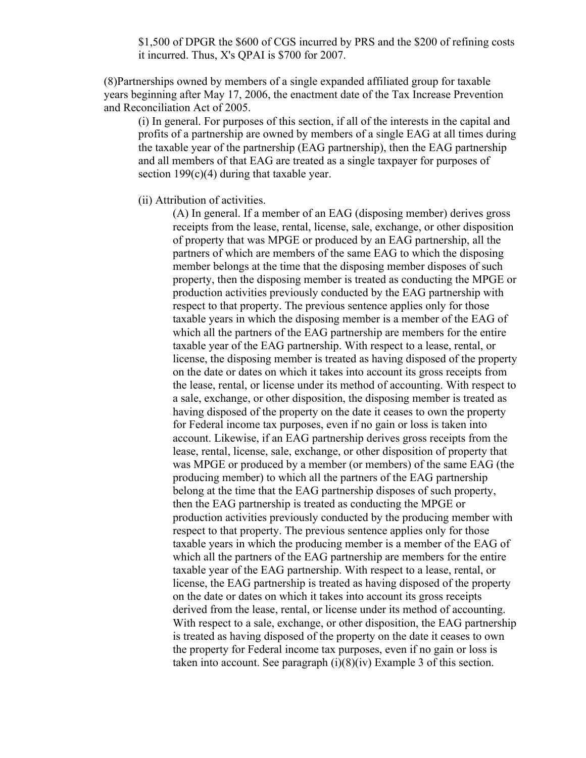\$1,500 of DPGR the \$600 of CGS incurred by PRS and the \$200 of refining costs it incurred. Thus, X's QPAI is \$700 for 2007.

(8)Partnerships owned by members of a single expanded affiliated group for taxable years beginning after May 17, 2006, the enactment date of the Tax Increase Prevention and Reconciliation Act of 2005.

(i) In general. For purposes of this section, if all of the interests in the capital and profits of a partnership are owned by members of a single EAG at all times during the taxable year of the partnership (EAG partnership), then the EAG partnership and all members of that EAG are treated as a single taxpayer for purposes of section  $199(c)(4)$  during that taxable year.

(ii) Attribution of activities.

(A) In general. If a member of an EAG (disposing member) derives gross receipts from the lease, rental, license, sale, exchange, or other disposition of property that was MPGE or produced by an EAG partnership, all the partners of which are members of the same EAG to which the disposing member belongs at the time that the disposing member disposes of such property, then the disposing member is treated as conducting the MPGE or production activities previously conducted by the EAG partnership with respect to that property. The previous sentence applies only for those taxable years in which the disposing member is a member of the EAG of which all the partners of the EAG partnership are members for the entire taxable year of the EAG partnership. With respect to a lease, rental, or license, the disposing member is treated as having disposed of the property on the date or dates on which it takes into account its gross receipts from the lease, rental, or license under its method of accounting. With respect to a sale, exchange, or other disposition, the disposing member is treated as having disposed of the property on the date it ceases to own the property for Federal income tax purposes, even if no gain or loss is taken into account. Likewise, if an EAG partnership derives gross receipts from the lease, rental, license, sale, exchange, or other disposition of property that was MPGE or produced by a member (or members) of the same EAG (the producing member) to which all the partners of the EAG partnership belong at the time that the EAG partnership disposes of such property, then the EAG partnership is treated as conducting the MPGE or production activities previously conducted by the producing member with respect to that property. The previous sentence applies only for those taxable years in which the producing member is a member of the EAG of which all the partners of the EAG partnership are members for the entire taxable year of the EAG partnership. With respect to a lease, rental, or license, the EAG partnership is treated as having disposed of the property on the date or dates on which it takes into account its gross receipts derived from the lease, rental, or license under its method of accounting. With respect to a sale, exchange, or other disposition, the EAG partnership is treated as having disposed of the property on the date it ceases to own the property for Federal income tax purposes, even if no gain or loss is taken into account. See paragraph  $(i)(8)(iv)$  Example 3 of this section.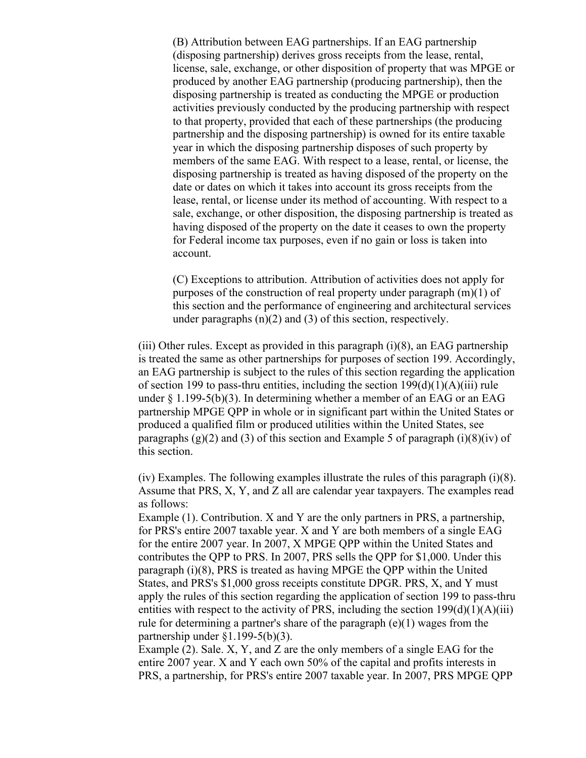(B) Attribution between EAG partnerships. If an EAG partnership (disposing partnership) derives gross receipts from the lease, rental, license, sale, exchange, or other disposition of property that was MPGE or produced by another EAG partnership (producing partnership), then the disposing partnership is treated as conducting the MPGE or production activities previously conducted by the producing partnership with respect to that property, provided that each of these partnerships (the producing partnership and the disposing partnership) is owned for its entire taxable year in which the disposing partnership disposes of such property by members of the same EAG. With respect to a lease, rental, or license, the disposing partnership is treated as having disposed of the property on the date or dates on which it takes into account its gross receipts from the lease, rental, or license under its method of accounting. With respect to a sale, exchange, or other disposition, the disposing partnership is treated as having disposed of the property on the date it ceases to own the property for Federal income tax purposes, even if no gain or loss is taken into account.

(C) Exceptions to attribution. Attribution of activities does not apply for purposes of the construction of real property under paragraph (m)(1) of this section and the performance of engineering and architectural services under paragraphs (n)(2) and (3) of this section, respectively.

(iii) Other rules. Except as provided in this paragraph  $(i)(8)$ , an EAG partnership is treated the same as other partnerships for purposes of section 199. Accordingly, an EAG partnership is subject to the rules of this section regarding the application of section 199 to pass-thru entities, including the section  $199(d)(1)(A)(iii)$  rule under  $\S 1.199-5(b)(3)$ . In determining whether a member of an EAG or an EAG partnership MPGE QPP in whole or in significant part within the United States or produced a qualified film or produced utilities within the United States, see paragraphs  $(g)(2)$  and  $(3)$  of this section and Example 5 of paragraph  $(i)(8)(iv)$  of this section.

(iv) Examples. The following examples illustrate the rules of this paragraph (i)(8). Assume that PRS, X, Y, and Z all are calendar year taxpayers. The examples read as follows:

Example (1). Contribution. X and Y are the only partners in PRS, a partnership, for PRS's entire 2007 taxable year. X and Y are both members of a single EAG for the entire 2007 year. In 2007, X MPGE QPP within the United States and contributes the QPP to PRS. In 2007, PRS sells the QPP for \$1,000. Under this paragraph (i)(8), PRS is treated as having MPGE the QPP within the United States, and PRS's \$1,000 gross receipts constitute DPGR. PRS, X, and Y must apply the rules of this section regarding the application of section 199 to pass-thru entities with respect to the activity of PRS, including the section  $199(d)(1)(A)(iii)$ rule for determining a partner's share of the paragraph (e)(1) wages from the partnership under §1.199-5(b)(3).

Example (2). Sale. X, Y, and Z are the only members of a single EAG for the entire 2007 year. X and Y each own 50% of the capital and profits interests in PRS, a partnership, for PRS's entire 2007 taxable year. In 2007, PRS MPGE QPP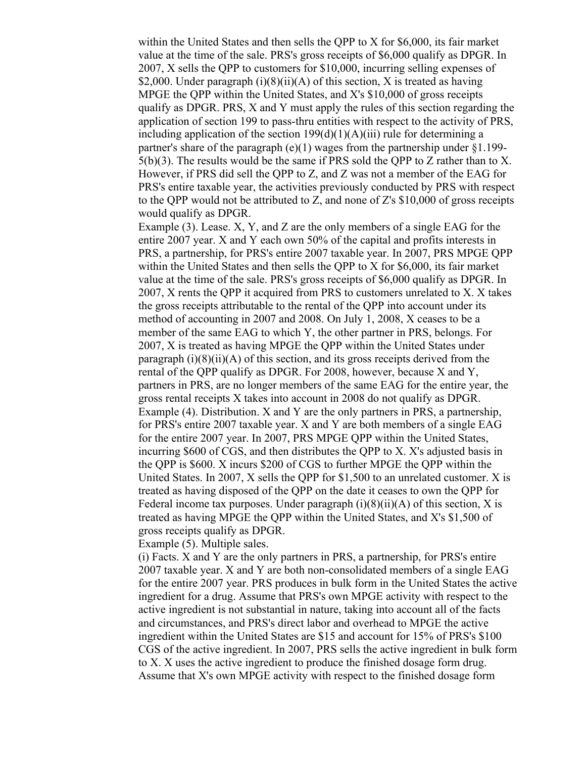within the United States and then sells the QPP to X for \$6,000, its fair market value at the time of the sale. PRS's gross receipts of \$6,000 qualify as DPGR. In 2007, X sells the QPP to customers for \$10,000, incurring selling expenses of \$2,000. Under paragraph  $(i)(8)(ii)(A)$  of this section, X is treated as having MPGE the QPP within the United States, and X's \$10,000 of gross receipts qualify as DPGR. PRS, X and Y must apply the rules of this section regarding the application of section 199 to pass-thru entities with respect to the activity of PRS, including application of the section  $199(d)(1)(A)(iii)$  rule for determining a partner's share of the paragraph  $(e)(1)$  wages from the partnership under §1.199- $5(b)(3)$ . The results would be the same if PRS sold the QPP to Z rather than to X. However, if PRS did sell the QPP to Z, and Z was not a member of the EAG for PRS's entire taxable year, the activities previously conducted by PRS with respect to the QPP would not be attributed to Z, and none of Z's \$10,000 of gross receipts would qualify as DPGR.

Example (3). Lease. X, Y, and Z are the only members of a single EAG for the entire 2007 year. X and Y each own 50% of the capital and profits interests in PRS, a partnership, for PRS's entire 2007 taxable year. In 2007, PRS MPGE QPP within the United States and then sells the QPP to X for \$6,000, its fair market value at the time of the sale. PRS's gross receipts of \$6,000 qualify as DPGR. In 2007, X rents the QPP it acquired from PRS to customers unrelated to X. X takes the gross receipts attributable to the rental of the QPP into account under its method of accounting in 2007 and 2008. On July 1, 2008, X ceases to be a member of the same EAG to which Y, the other partner in PRS, belongs. For 2007, X is treated as having MPGE the QPP within the United States under paragraph  $(i)(8)(ii)(A)$  of this section, and its gross receipts derived from the rental of the QPP qualify as DPGR. For 2008, however, because X and Y, partners in PRS, are no longer members of the same EAG for the entire year, the gross rental receipts X takes into account in 2008 do not qualify as DPGR. Example (4). Distribution. X and Y are the only partners in PRS, a partnership, for PRS's entire 2007 taxable year. X and Y are both members of a single EAG for the entire 2007 year. In 2007, PRS MPGE QPP within the United States, incurring \$600 of CGS, and then distributes the QPP to X. X's adjusted basis in the QPP is \$600. X incurs \$200 of CGS to further MPGE the QPP within the United States. In 2007, X sells the QPP for \$1,500 to an unrelated customer. X is treated as having disposed of the QPP on the date it ceases to own the QPP for Federal income tax purposes. Under paragraph  $(i)(8)(ii)(A)$  of this section, X is treated as having MPGE the QPP within the United States, and X's \$1,500 of gross receipts qualify as DPGR.

Example (5). Multiple sales.

(i) Facts. X and Y are the only partners in PRS, a partnership, for PRS's entire 2007 taxable year. X and Y are both non-consolidated members of a single EAG for the entire 2007 year. PRS produces in bulk form in the United States the active ingredient for a drug. Assume that PRS's own MPGE activity with respect to the active ingredient is not substantial in nature, taking into account all of the facts and circumstances, and PRS's direct labor and overhead to MPGE the active ingredient within the United States are \$15 and account for 15% of PRS's \$100 CGS of the active ingredient. In 2007, PRS sells the active ingredient in bulk form to X. X uses the active ingredient to produce the finished dosage form drug. Assume that X's own MPGE activity with respect to the finished dosage form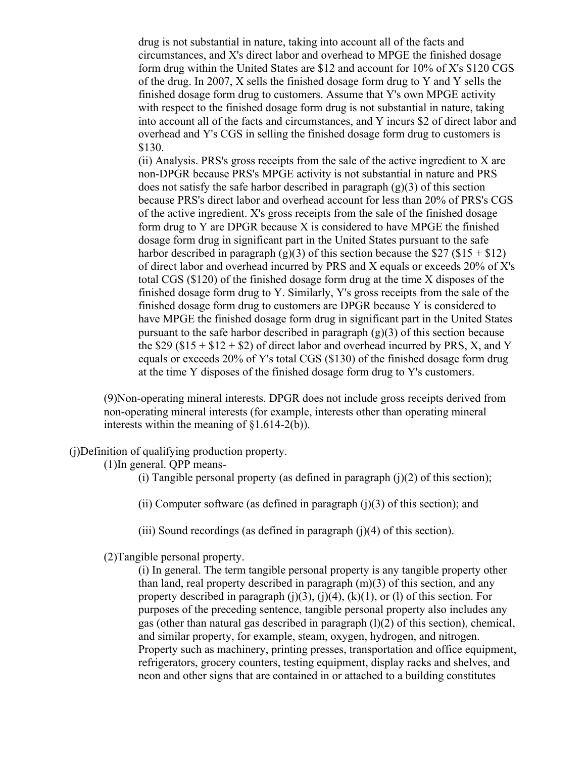drug is not substantial in nature, taking into account all of the facts and circumstances, and X's direct labor and overhead to MPGE the finished dosage form drug within the United States are \$12 and account for 10% of X's \$120 CGS of the drug. In 2007, X sells the finished dosage form drug to Y and Y sells the finished dosage form drug to customers. Assume that Y's own MPGE activity with respect to the finished dosage form drug is not substantial in nature, taking into account all of the facts and circumstances, and Y incurs \$2 of direct labor and overhead and Y's CGS in selling the finished dosage form drug to customers is \$130.

(ii) Analysis. PRS's gross receipts from the sale of the active ingredient to X are non-DPGR because PRS's MPGE activity is not substantial in nature and PRS does not satisfy the safe harbor described in paragraph (g)(3) of this section because PRS's direct labor and overhead account for less than 20% of PRS's CGS of the active ingredient. X's gross receipts from the sale of the finished dosage form drug to Y are DPGR because X is considered to have MPGE the finished dosage form drug in significant part in the United States pursuant to the safe harbor described in paragraph (g)(3) of this section because the \$27 (\$15 + \$12) of direct labor and overhead incurred by PRS and X equals or exceeds 20% of X's total CGS (\$120) of the finished dosage form drug at the time X disposes of the finished dosage form drug to Y. Similarly, Y's gross receipts from the sale of the finished dosage form drug to customers are DPGR because Y is considered to have MPGE the finished dosage form drug in significant part in the United States pursuant to the safe harbor described in paragraph (g)(3) of this section because the  $$29 ($15 + $12 + $2)$  of direct labor and overhead incurred by PRS, X, and Y equals or exceeds 20% of Y's total CGS (\$130) of the finished dosage form drug at the time Y disposes of the finished dosage form drug to Y's customers.

(9)Non-operating mineral interests. DPGR does not include gross receipts derived from non-operating mineral interests (for example, interests other than operating mineral interests within the meaning of §1.614-2(b)).

(j)Definition of qualifying production property.

(1)In general. QPP means-

(i) Tangible personal property (as defined in paragraph  $(j)(2)$  of this section);

(ii) Computer software (as defined in paragraph  $(i)(3)$  of this section); and

(iii) Sound recordings (as defined in paragraph  $(i)(4)$  of this section).

(2)Tangible personal property.

(i) In general. The term tangible personal property is any tangible property other than land, real property described in paragraph (m)(3) of this section, and any property described in paragraph  $(i)(3)$ ,  $(i)(4)$ ,  $(k)(1)$ , or  $(l)$  of this section. For purposes of the preceding sentence, tangible personal property also includes any gas (other than natural gas described in paragraph (l)(2) of this section), chemical, and similar property, for example, steam, oxygen, hydrogen, and nitrogen. Property such as machinery, printing presses, transportation and office equipment, refrigerators, grocery counters, testing equipment, display racks and shelves, and neon and other signs that are contained in or attached to a building constitutes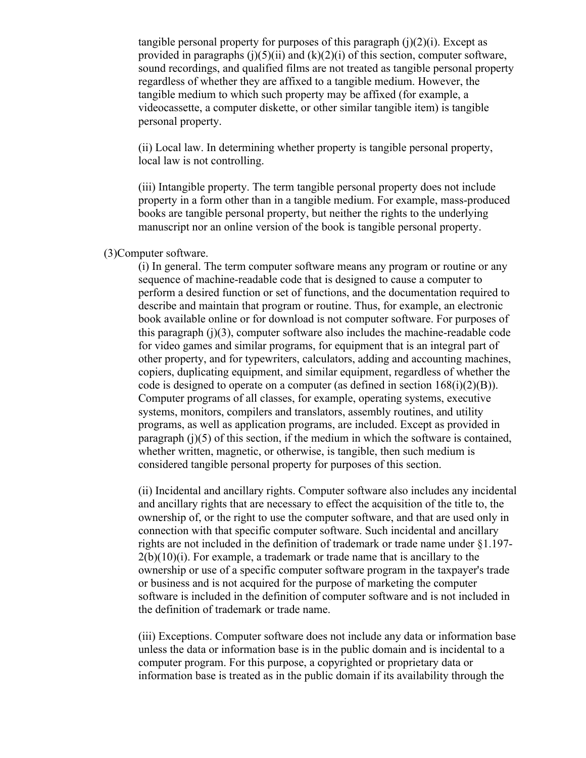tangible personal property for purposes of this paragraph  $(i)(2)(i)$ . Except as provided in paragraphs  $(i)(5)(ii)$  and  $(k)(2)(i)$  of this section, computer software, sound recordings, and qualified films are not treated as tangible personal property regardless of whether they are affixed to a tangible medium. However, the tangible medium to which such property may be affixed (for example, a videocassette, a computer diskette, or other similar tangible item) is tangible personal property.

(ii) Local law. In determining whether property is tangible personal property, local law is not controlling.

(iii) Intangible property. The term tangible personal property does not include property in a form other than in a tangible medium. For example, mass-produced books are tangible personal property, but neither the rights to the underlying manuscript nor an online version of the book is tangible personal property.

## (3)Computer software.

(i) In general. The term computer software means any program or routine or any sequence of machine-readable code that is designed to cause a computer to perform a desired function or set of functions, and the documentation required to describe and maintain that program or routine. Thus, for example, an electronic book available online or for download is not computer software. For purposes of this paragraph  $(i)(3)$ , computer software also includes the machine-readable code for video games and similar programs, for equipment that is an integral part of other property, and for typewriters, calculators, adding and accounting machines, copiers, duplicating equipment, and similar equipment, regardless of whether the code is designed to operate on a computer (as defined in section  $168(i)(2)(B)$ ). Computer programs of all classes, for example, operating systems, executive systems, monitors, compilers and translators, assembly routines, and utility programs, as well as application programs, are included. Except as provided in paragraph  $(i)(5)$  of this section, if the medium in which the software is contained, whether written, magnetic, or otherwise, is tangible, then such medium is considered tangible personal property for purposes of this section.

(ii) Incidental and ancillary rights. Computer software also includes any incidental and ancillary rights that are necessary to effect the acquisition of the title to, the ownership of, or the right to use the computer software, and that are used only in connection with that specific computer software. Such incidental and ancillary rights are not included in the definition of trademark or trade name under §1.197-  $2(b)(10)(i)$ . For example, a trademark or trade name that is ancillary to the ownership or use of a specific computer software program in the taxpayer's trade or business and is not acquired for the purpose of marketing the computer software is included in the definition of computer software and is not included in the definition of trademark or trade name.

(iii) Exceptions. Computer software does not include any data or information base unless the data or information base is in the public domain and is incidental to a computer program. For this purpose, a copyrighted or proprietary data or information base is treated as in the public domain if its availability through the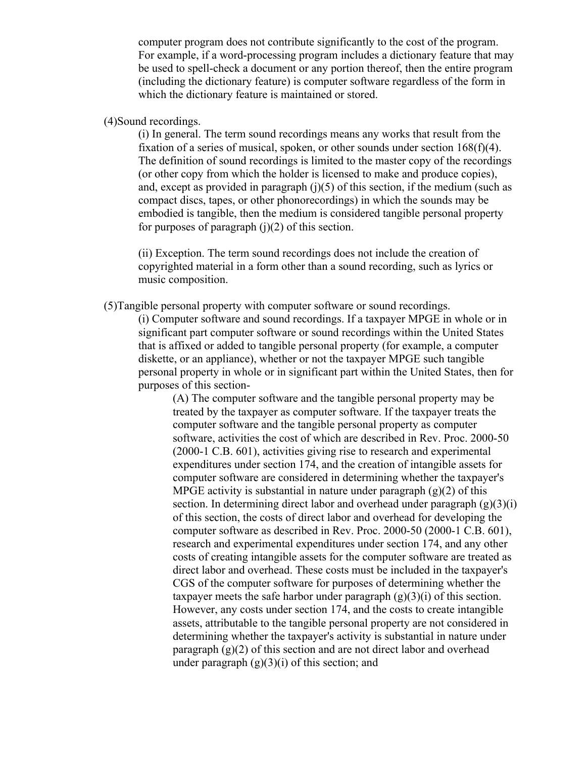computer program does not contribute significantly to the cost of the program. For example, if a word-processing program includes a dictionary feature that may be used to spell-check a document or any portion thereof, then the entire program (including the dictionary feature) is computer software regardless of the form in which the dictionary feature is maintained or stored.

# (4)Sound recordings.

(i) In general. The term sound recordings means any works that result from the fixation of a series of musical, spoken, or other sounds under section 168(f)(4). The definition of sound recordings is limited to the master copy of the recordings (or other copy from which the holder is licensed to make and produce copies), and, except as provided in paragraph  $(j)(5)$  of this section, if the medium (such as compact discs, tapes, or other phonorecordings) in which the sounds may be embodied is tangible, then the medium is considered tangible personal property for purposes of paragraph  $(i)(2)$  of this section.

(ii) Exception. The term sound recordings does not include the creation of copyrighted material in a form other than a sound recording, such as lyrics or music composition.

(5)Tangible personal property with computer software or sound recordings.

(i) Computer software and sound recordings. If a taxpayer MPGE in whole or in significant part computer software or sound recordings within the United States that is affixed or added to tangible personal property (for example, a computer diskette, or an appliance), whether or not the taxpayer MPGE such tangible personal property in whole or in significant part within the United States, then for purposes of this section-

> (A) The computer software and the tangible personal property may be treated by the taxpayer as computer software. If the taxpayer treats the computer software and the tangible personal property as computer software, activities the cost of which are described in Rev. Proc. 2000-50 (2000-1 C.B. 601), activities giving rise to research and experimental expenditures under section 174, and the creation of intangible assets for computer software are considered in determining whether the taxpayer's MPGE activity is substantial in nature under paragraph  $(g)(2)$  of this section. In determining direct labor and overhead under paragraph  $(g)(3)(i)$ of this section, the costs of direct labor and overhead for developing the computer software as described in Rev. Proc. 2000-50 (2000-1 C.B. 601), research and experimental expenditures under section 174, and any other costs of creating intangible assets for the computer software are treated as direct labor and overhead. These costs must be included in the taxpayer's CGS of the computer software for purposes of determining whether the taxpayer meets the safe harbor under paragraph  $(g)(3)(i)$  of this section. However, any costs under section 174, and the costs to create intangible assets, attributable to the tangible personal property are not considered in determining whether the taxpayer's activity is substantial in nature under paragraph  $(g)(2)$  of this section and are not direct labor and overhead under paragraph  $(g)(3)(i)$  of this section; and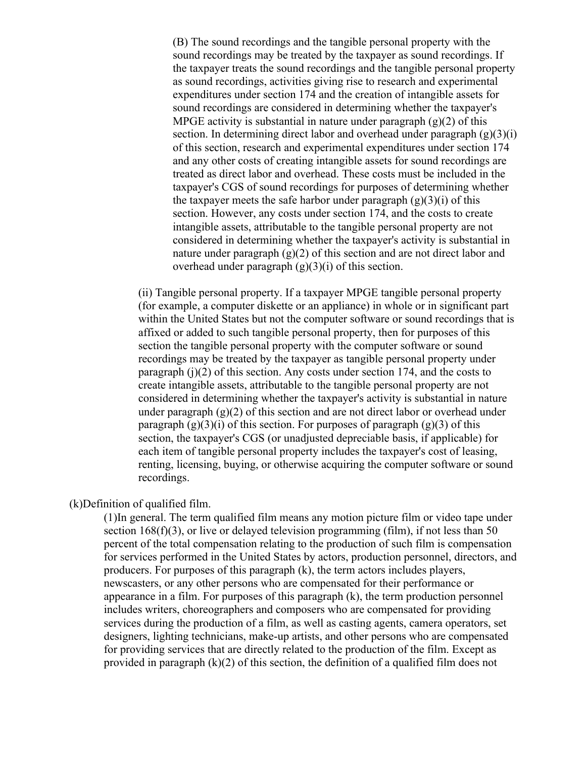(B) The sound recordings and the tangible personal property with the sound recordings may be treated by the taxpayer as sound recordings. If the taxpayer treats the sound recordings and the tangible personal property as sound recordings, activities giving rise to research and experimental expenditures under section 174 and the creation of intangible assets for sound recordings are considered in determining whether the taxpayer's MPGE activity is substantial in nature under paragraph  $(g)(2)$  of this section. In determining direct labor and overhead under paragraph  $(g)(3)(i)$ of this section, research and experimental expenditures under section 174 and any other costs of creating intangible assets for sound recordings are treated as direct labor and overhead. These costs must be included in the taxpayer's CGS of sound recordings for purposes of determining whether the taxpayer meets the safe harbor under paragraph  $(g)(3)(i)$  of this section. However, any costs under section 174, and the costs to create intangible assets, attributable to the tangible personal property are not considered in determining whether the taxpayer's activity is substantial in nature under paragraph  $(g)(2)$  of this section and are not direct labor and overhead under paragraph  $(g)(3)(i)$  of this section.

(ii) Tangible personal property. If a taxpayer MPGE tangible personal property (for example, a computer diskette or an appliance) in whole or in significant part within the United States but not the computer software or sound recordings that is affixed or added to such tangible personal property, then for purposes of this section the tangible personal property with the computer software or sound recordings may be treated by the taxpayer as tangible personal property under paragraph  $(i)(2)$  of this section. Any costs under section 174, and the costs to create intangible assets, attributable to the tangible personal property are not considered in determining whether the taxpayer's activity is substantial in nature under paragraph  $(g)(2)$  of this section and are not direct labor or overhead under paragraph  $(g)(3)(i)$  of this section. For purposes of paragraph  $(g)(3)$  of this section, the taxpayer's CGS (or unadjusted depreciable basis, if applicable) for each item of tangible personal property includes the taxpayer's cost of leasing, renting, licensing, buying, or otherwise acquiring the computer software or sound recordings.

#### (k)Definition of qualified film.

(1)In general. The term qualified film means any motion picture film or video tape under section  $168(f)(3)$ , or live or delayed television programming (film), if not less than 50 percent of the total compensation relating to the production of such film is compensation for services performed in the United States by actors, production personnel, directors, and producers. For purposes of this paragraph (k), the term actors includes players, newscasters, or any other persons who are compensated for their performance or appearance in a film. For purposes of this paragraph (k), the term production personnel includes writers, choreographers and composers who are compensated for providing services during the production of a film, as well as casting agents, camera operators, set designers, lighting technicians, make-up artists, and other persons who are compensated for providing services that are directly related to the production of the film. Except as provided in paragraph (k)(2) of this section, the definition of a qualified film does not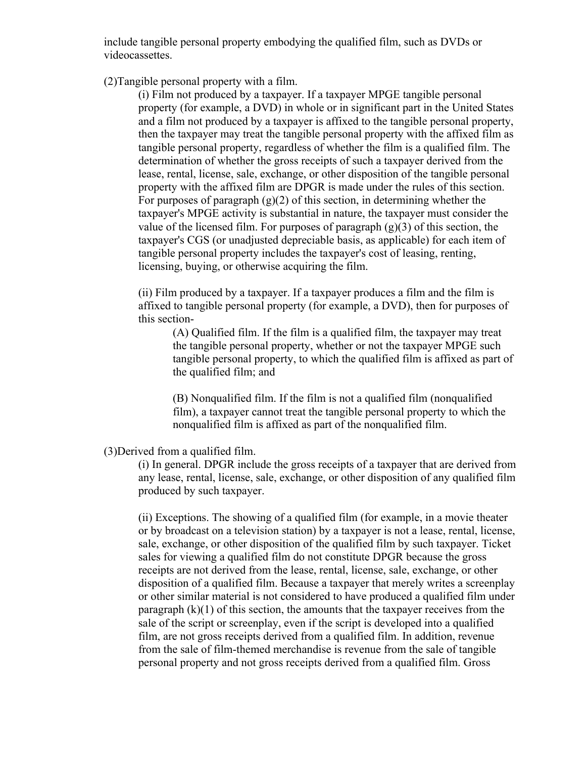include tangible personal property embodying the qualified film, such as DVDs or videocassettes.

(2)Tangible personal property with a film.

(i) Film not produced by a taxpayer. If a taxpayer MPGE tangible personal property (for example, a DVD) in whole or in significant part in the United States and a film not produced by a taxpayer is affixed to the tangible personal property, then the taxpayer may treat the tangible personal property with the affixed film as tangible personal property, regardless of whether the film is a qualified film. The determination of whether the gross receipts of such a taxpayer derived from the lease, rental, license, sale, exchange, or other disposition of the tangible personal property with the affixed film are DPGR is made under the rules of this section. For purposes of paragraph  $(g)(2)$  of this section, in determining whether the taxpayer's MPGE activity is substantial in nature, the taxpayer must consider the value of the licensed film. For purposes of paragraph  $(g)(3)$  of this section, the taxpayer's CGS (or unadjusted depreciable basis, as applicable) for each item of tangible personal property includes the taxpayer's cost of leasing, renting, licensing, buying, or otherwise acquiring the film.

(ii) Film produced by a taxpayer. If a taxpayer produces a film and the film is affixed to tangible personal property (for example, a DVD), then for purposes of this section-

(A) Qualified film. If the film is a qualified film, the taxpayer may treat the tangible personal property, whether or not the taxpayer MPGE such tangible personal property, to which the qualified film is affixed as part of the qualified film; and

(B) Nonqualified film. If the film is not a qualified film (nonqualified film), a taxpayer cannot treat the tangible personal property to which the nonqualified film is affixed as part of the nonqualified film.

(3)Derived from a qualified film.

(i) In general. DPGR include the gross receipts of a taxpayer that are derived from any lease, rental, license, sale, exchange, or other disposition of any qualified film produced by such taxpayer.

(ii) Exceptions. The showing of a qualified film (for example, in a movie theater or by broadcast on a television station) by a taxpayer is not a lease, rental, license, sale, exchange, or other disposition of the qualified film by such taxpayer. Ticket sales for viewing a qualified film do not constitute DPGR because the gross receipts are not derived from the lease, rental, license, sale, exchange, or other disposition of a qualified film. Because a taxpayer that merely writes a screenplay or other similar material is not considered to have produced a qualified film under paragraph  $(k)(1)$  of this section, the amounts that the taxpayer receives from the sale of the script or screenplay, even if the script is developed into a qualified film, are not gross receipts derived from a qualified film. In addition, revenue from the sale of film-themed merchandise is revenue from the sale of tangible personal property and not gross receipts derived from a qualified film. Gross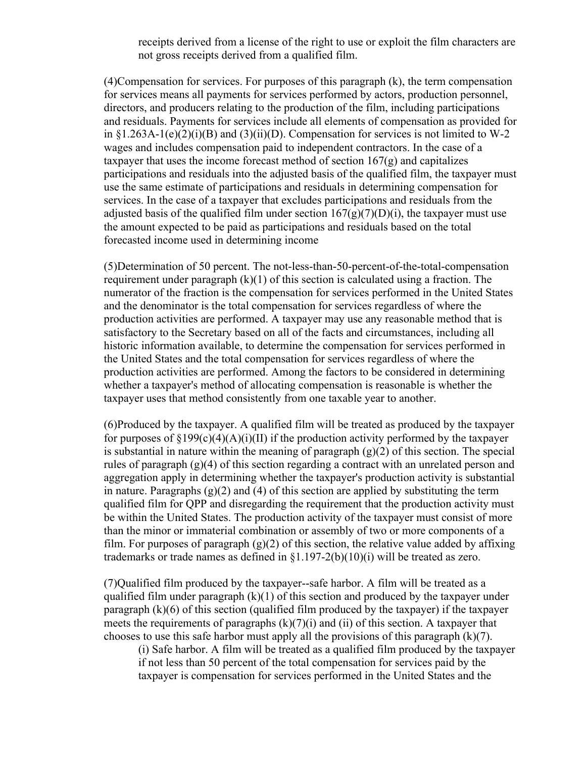receipts derived from a license of the right to use or exploit the film characters are not gross receipts derived from a qualified film.

(4)Compensation for services. For purposes of this paragraph (k), the term compensation for services means all payments for services performed by actors, production personnel, directors, and producers relating to the production of the film, including participations and residuals. Payments for services include all elements of compensation as provided for in  $\S1.263A-1(e)(2)(i)(B)$  and  $(S)(ii)(D)$ . Compensation for services is not limited to W-2 wages and includes compensation paid to independent contractors. In the case of a taxpayer that uses the income forecast method of section  $167(g)$  and capitalizes participations and residuals into the adjusted basis of the qualified film, the taxpayer must use the same estimate of participations and residuals in determining compensation for services. In the case of a taxpayer that excludes participations and residuals from the adjusted basis of the qualified film under section  $167(g)(7)(D)(i)$ , the taxpayer must use the amount expected to be paid as participations and residuals based on the total forecasted income used in determining income

(5)Determination of 50 percent. The not-less-than-50-percent-of-the-total-compensation requirement under paragraph  $(k)(1)$  of this section is calculated using a fraction. The numerator of the fraction is the compensation for services performed in the United States and the denominator is the total compensation for services regardless of where the production activities are performed. A taxpayer may use any reasonable method that is satisfactory to the Secretary based on all of the facts and circumstances, including all historic information available, to determine the compensation for services performed in the United States and the total compensation for services regardless of where the production activities are performed. Among the factors to be considered in determining whether a taxpayer's method of allocating compensation is reasonable is whether the taxpayer uses that method consistently from one taxable year to another.

(6)Produced by the taxpayer. A qualified film will be treated as produced by the taxpayer for purposes of  $\S 199(c)(4)(A)(i)(II)$  if the production activity performed by the taxpayer is substantial in nature within the meaning of paragraph  $(g)(2)$  of this section. The special rules of paragraph (g)(4) of this section regarding a contract with an unrelated person and aggregation apply in determining whether the taxpayer's production activity is substantial in nature. Paragraphs  $(g)(2)$  and  $(4)$  of this section are applied by substituting the term qualified film for QPP and disregarding the requirement that the production activity must be within the United States. The production activity of the taxpayer must consist of more than the minor or immaterial combination or assembly of two or more components of a film. For purposes of paragraph  $(g)(2)$  of this section, the relative value added by affixing trademarks or trade names as defined in  $\S1.197-2(b)(10)(i)$  will be treated as zero.

(7)Qualified film produced by the taxpayer--safe harbor. A film will be treated as a qualified film under paragraph  $(k)(1)$  of this section and produced by the taxpayer under paragraph (k)(6) of this section (qualified film produced by the taxpayer) if the taxpayer meets the requirements of paragraphs  $(k)(7)(i)$  and  $(ii)$  of this section. A taxpayer that chooses to use this safe harbor must apply all the provisions of this paragraph  $(k)(7)$ .

(i) Safe harbor. A film will be treated as a qualified film produced by the taxpayer if not less than 50 percent of the total compensation for services paid by the taxpayer is compensation for services performed in the United States and the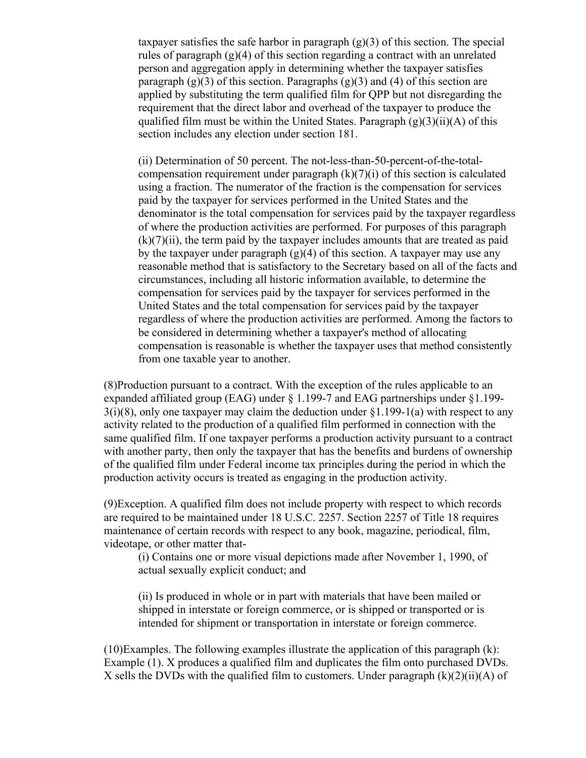taxpayer satisfies the safe harbor in paragraph  $(g)(3)$  of this section. The special rules of paragraph  $(g)(4)$  of this section regarding a contract with an unrelated person and aggregation apply in determining whether the taxpayer satisfies paragraph  $(g)(3)$  of this section. Paragraphs  $(g)(3)$  and  $(4)$  of this section are applied by substituting the term qualified film for QPP but not disregarding the requirement that the direct labor and overhead of the taxpayer to produce the qualified film must be within the United States. Paragraph  $(g)(3)(ii)(A)$  of this section includes any election under section 181.

(ii) Determination of 50 percent. The not-less-than-50-percent-of-the-totalcompensation requirement under paragraph  $(k)(7)(i)$  of this section is calculated using a fraction. The numerator of the fraction is the compensation for services paid by the taxpayer for services performed in the United States and the denominator is the total compensation for services paid by the taxpayer regardless of where the production activities are performed. For purposes of this paragraph  $(k)(7)(ii)$ , the term paid by the taxpayer includes amounts that are treated as paid by the taxpayer under paragraph  $(g)(4)$  of this section. A taxpayer may use any reasonable method that is satisfactory to the Secretary based on all of the facts and circumstances, including all historic information available, to determine the compensation for services paid by the taxpayer for services performed in the United States and the total compensation for services paid by the taxpayer regardless of where the production activities are performed. Among the factors to be considered in determining whether a taxpayer's method of allocating compensation is reasonable is whether the taxpayer uses that method consistently from one taxable year to another.

(8)Production pursuant to a contract. With the exception of the rules applicable to an expanded affiliated group (EAG) under § 1.199-7 and EAG partnerships under §1.199-  $3(i)(8)$ , only one taxpayer may claim the deduction under  $\S1.199-1(a)$  with respect to any activity related to the production of a qualified film performed in connection with the same qualified film. If one taxpayer performs a production activity pursuant to a contract with another party, then only the taxpayer that has the benefits and burdens of ownership of the qualified film under Federal income tax principles during the period in which the production activity occurs is treated as engaging in the production activity.

(9)Exception. A qualified film does not include property with respect to which records are required to be maintained under 18 U.S.C. 2257. Section 2257 of Title 18 requires maintenance of certain records with respect to any book, magazine, periodical, film, videotape, or other matter that-

(i) Contains one or more visual depictions made after November 1, 1990, of actual sexually explicit conduct; and

(ii) Is produced in whole or in part with materials that have been mailed or shipped in interstate or foreign commerce, or is shipped or transported or is intended for shipment or transportation in interstate or foreign commerce.

 $(10)$ Examples. The following examples illustrate the application of this paragraph  $(k)$ : Example (1). X produces a qualified film and duplicates the film onto purchased DVDs. X sells the DVDs with the qualified film to customers. Under paragraph  $(k)(2)(ii)(A)$  of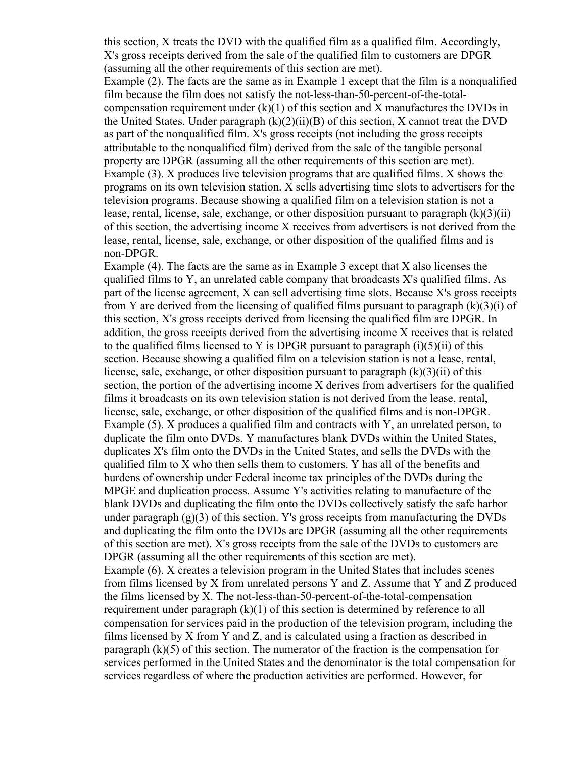this section, X treats the DVD with the qualified film as a qualified film. Accordingly, X's gross receipts derived from the sale of the qualified film to customers are DPGR (assuming all the other requirements of this section are met).

Example (2). The facts are the same as in Example 1 except that the film is a nonqualified film because the film does not satisfy the not-less-than-50-percent-of-the-totalcompensation requirement under  $(k)(1)$  of this section and X manufactures the DVDs in the United States. Under paragraph  $(k)(2)(ii)(B)$  of this section, X cannot treat the DVD as part of the nonqualified film. X's gross receipts (not including the gross receipts attributable to the nonqualified film) derived from the sale of the tangible personal property are DPGR (assuming all the other requirements of this section are met). Example (3). X produces live television programs that are qualified films. X shows the programs on its own television station. X sells advertising time slots to advertisers for the television programs. Because showing a qualified film on a television station is not a lease, rental, license, sale, exchange, or other disposition pursuant to paragraph  $(k)(3)(ii)$ of this section, the advertising income X receives from advertisers is not derived from the lease, rental, license, sale, exchange, or other disposition of the qualified films and is non-DPGR.

Example (4). The facts are the same as in Example 3 except that X also licenses the qualified films to Y, an unrelated cable company that broadcasts X's qualified films. As part of the license agreement, X can sell advertising time slots. Because X's gross receipts from Y are derived from the licensing of qualified films pursuant to paragraph  $(k)(3)(i)$  of this section, X's gross receipts derived from licensing the qualified film are DPGR. In addition, the gross receipts derived from the advertising income X receives that is related to the qualified films licensed to Y is DPGR pursuant to paragraph  $(i)(5)(ii)$  of this section. Because showing a qualified film on a television station is not a lease, rental, license, sale, exchange, or other disposition pursuant to paragraph  $(k)(3)(ii)$  of this section, the portion of the advertising income X derives from advertisers for the qualified films it broadcasts on its own television station is not derived from the lease, rental, license, sale, exchange, or other disposition of the qualified films and is non-DPGR. Example (5). X produces a qualified film and contracts with Y, an unrelated person, to duplicate the film onto DVDs. Y manufactures blank DVDs within the United States, duplicates X's film onto the DVDs in the United States, and sells the DVDs with the qualified film to X who then sells them to customers. Y has all of the benefits and burdens of ownership under Federal income tax principles of the DVDs during the MPGE and duplication process. Assume Y's activities relating to manufacture of the blank DVDs and duplicating the film onto the DVDs collectively satisfy the safe harbor under paragraph  $(g)(3)$  of this section. Y's gross receipts from manufacturing the DVDs and duplicating the film onto the DVDs are DPGR (assuming all the other requirements of this section are met). X's gross receipts from the sale of the DVDs to customers are DPGR (assuming all the other requirements of this section are met). Example (6). X creates a television program in the United States that includes scenes from films licensed by X from unrelated persons Y and Z. Assume that Y and Z produced the films licensed by X. The not-less-than-50-percent-of-the-total-compensation requirement under paragraph  $(k)(1)$  of this section is determined by reference to all compensation for services paid in the production of the television program, including the films licensed by X from Y and Z, and is calculated using a fraction as described in paragraph (k)(5) of this section. The numerator of the fraction is the compensation for services performed in the United States and the denominator is the total compensation for services regardless of where the production activities are performed. However, for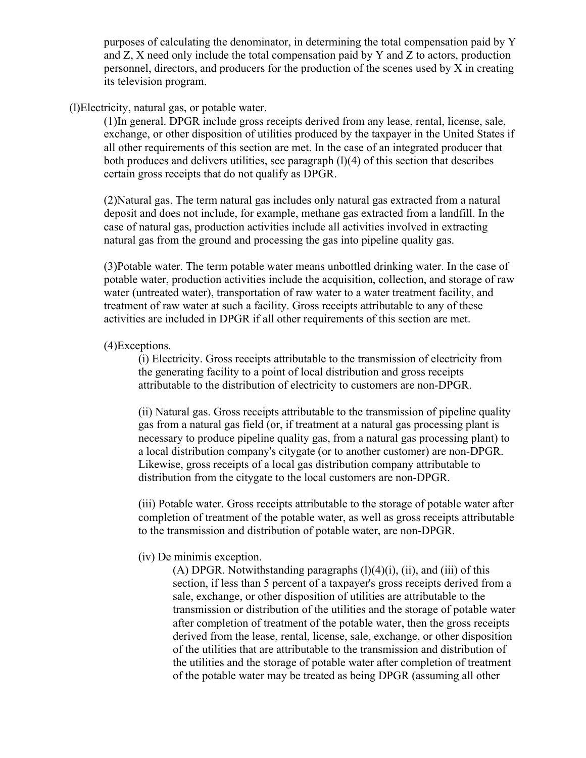purposes of calculating the denominator, in determining the total compensation paid by Y and Z, X need only include the total compensation paid by Y and Z to actors, production personnel, directors, and producers for the production of the scenes used by X in creating its television program.

#### (l)Electricity, natural gas, or potable water.

(1)In general. DPGR include gross receipts derived from any lease, rental, license, sale, exchange, or other disposition of utilities produced by the taxpayer in the United States if all other requirements of this section are met. In the case of an integrated producer that both produces and delivers utilities, see paragraph  $(1)(4)$  of this section that describes certain gross receipts that do not qualify as DPGR.

(2)Natural gas. The term natural gas includes only natural gas extracted from a natural deposit and does not include, for example, methane gas extracted from a landfill. In the case of natural gas, production activities include all activities involved in extracting natural gas from the ground and processing the gas into pipeline quality gas.

(3)Potable water. The term potable water means unbottled drinking water. In the case of potable water, production activities include the acquisition, collection, and storage of raw water (untreated water), transportation of raw water to a water treatment facility, and treatment of raw water at such a facility. Gross receipts attributable to any of these activities are included in DPGR if all other requirements of this section are met.

#### (4)Exceptions.

(i) Electricity. Gross receipts attributable to the transmission of electricity from the generating facility to a point of local distribution and gross receipts attributable to the distribution of electricity to customers are non-DPGR.

(ii) Natural gas. Gross receipts attributable to the transmission of pipeline quality gas from a natural gas field (or, if treatment at a natural gas processing plant is necessary to produce pipeline quality gas, from a natural gas processing plant) to a local distribution company's citygate (or to another customer) are non-DPGR. Likewise, gross receipts of a local gas distribution company attributable to distribution from the citygate to the local customers are non-DPGR.

(iii) Potable water. Gross receipts attributable to the storage of potable water after completion of treatment of the potable water, as well as gross receipts attributable to the transmission and distribution of potable water, are non-DPGR.

#### (iv) De minimis exception.

(A) DPGR. Notwithstanding paragraphs  $(l)(4)(i)$ ,  $(ii)$ , and  $(iii)$  of this section, if less than 5 percent of a taxpayer's gross receipts derived from a sale, exchange, or other disposition of utilities are attributable to the transmission or distribution of the utilities and the storage of potable water after completion of treatment of the potable water, then the gross receipts derived from the lease, rental, license, sale, exchange, or other disposition of the utilities that are attributable to the transmission and distribution of the utilities and the storage of potable water after completion of treatment of the potable water may be treated as being DPGR (assuming all other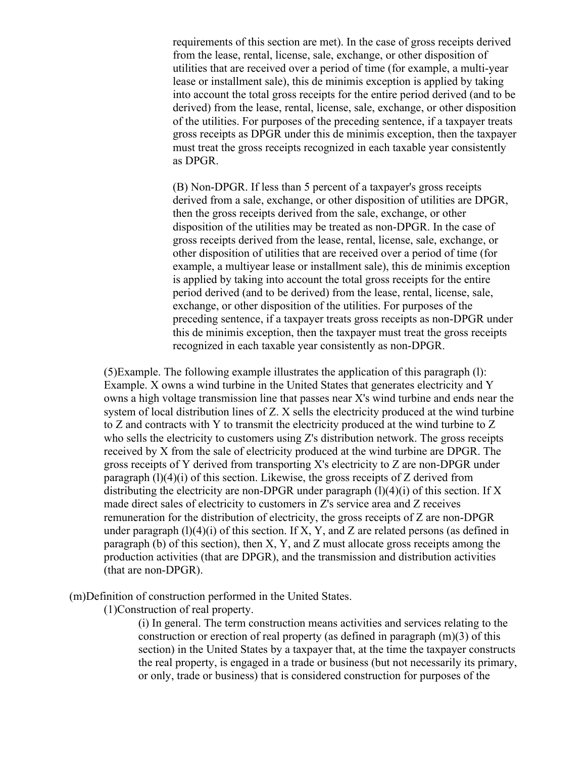requirements of this section are met). In the case of gross receipts derived from the lease, rental, license, sale, exchange, or other disposition of utilities that are received over a period of time (for example, a multi-year lease or installment sale), this de minimis exception is applied by taking into account the total gross receipts for the entire period derived (and to be derived) from the lease, rental, license, sale, exchange, or other disposition of the utilities. For purposes of the preceding sentence, if a taxpayer treats gross receipts as DPGR under this de minimis exception, then the taxpayer must treat the gross receipts recognized in each taxable year consistently as DPGR.

(B) Non-DPGR. If less than 5 percent of a taxpayer's gross receipts derived from a sale, exchange, or other disposition of utilities are DPGR, then the gross receipts derived from the sale, exchange, or other disposition of the utilities may be treated as non-DPGR. In the case of gross receipts derived from the lease, rental, license, sale, exchange, or other disposition of utilities that are received over a period of time (for example, a multiyear lease or installment sale), this de minimis exception is applied by taking into account the total gross receipts for the entire period derived (and to be derived) from the lease, rental, license, sale, exchange, or other disposition of the utilities. For purposes of the preceding sentence, if a taxpayer treats gross receipts as non-DPGR under this de minimis exception, then the taxpayer must treat the gross receipts recognized in each taxable year consistently as non-DPGR.

(5)Example. The following example illustrates the application of this paragraph (l): Example. X owns a wind turbine in the United States that generates electricity and Y owns a high voltage transmission line that passes near X's wind turbine and ends near the system of local distribution lines of Z. X sells the electricity produced at the wind turbine to Z and contracts with Y to transmit the electricity produced at the wind turbine to Z who sells the electricity to customers using Z's distribution network. The gross receipts received by X from the sale of electricity produced at the wind turbine are DPGR. The gross receipts of Y derived from transporting X's electricity to Z are non-DPGR under paragraph  $(1)(4)(i)$  of this section. Likewise, the gross receipts of Z derived from distributing the electricity are non-DPGR under paragraph  $(l)(4)(i)$  of this section. If X made direct sales of electricity to customers in Z's service area and Z receives remuneration for the distribution of electricity, the gross receipts of Z are non-DPGR under paragraph  $(1)(4)(i)$  of this section. If X, Y, and Z are related persons (as defined in paragraph (b) of this section), then X, Y, and Z must allocate gross receipts among the production activities (that are DPGR), and the transmission and distribution activities (that are non-DPGR).

(m)Definition of construction performed in the United States.

(1)Construction of real property.

(i) In general. The term construction means activities and services relating to the construction or erection of real property (as defined in paragraph (m)(3) of this section) in the United States by a taxpayer that, at the time the taxpayer constructs the real property, is engaged in a trade or business (but not necessarily its primary, or only, trade or business) that is considered construction for purposes of the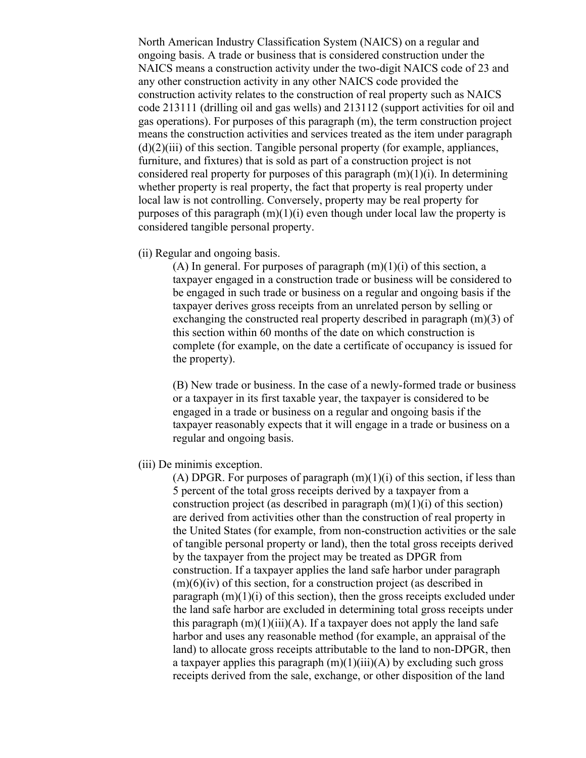North American Industry Classification System (NAICS) on a regular and ongoing basis. A trade or business that is considered construction under the NAICS means a construction activity under the two-digit NAICS code of 23 and any other construction activity in any other NAICS code provided the construction activity relates to the construction of real property such as NAICS code 213111 (drilling oil and gas wells) and 213112 (support activities for oil and gas operations). For purposes of this paragraph (m), the term construction project means the construction activities and services treated as the item under paragraph  $(d)(2)(iii)$  of this section. Tangible personal property (for example, appliances, furniture, and fixtures) that is sold as part of a construction project is not considered real property for purposes of this paragraph  $(m)(1)(i)$ . In determining whether property is real property, the fact that property is real property under local law is not controlling. Conversely, property may be real property for purposes of this paragraph  $(m)(1)(i)$  even though under local law the property is considered tangible personal property.

(ii) Regular and ongoing basis.

(A) In general. For purposes of paragraph  $(m)(1)(i)$  of this section, a taxpayer engaged in a construction trade or business will be considered to be engaged in such trade or business on a regular and ongoing basis if the taxpayer derives gross receipts from an unrelated person by selling or exchanging the constructed real property described in paragraph (m)(3) of this section within 60 months of the date on which construction is complete (for example, on the date a certificate of occupancy is issued for the property).

(B) New trade or business. In the case of a newly-formed trade or business or a taxpayer in its first taxable year, the taxpayer is considered to be engaged in a trade or business on a regular and ongoing basis if the taxpayer reasonably expects that it will engage in a trade or business on a regular and ongoing basis.

(iii) De minimis exception.

(A) DPGR. For purposes of paragraph  $(m)(1)(i)$  of this section, if less than 5 percent of the total gross receipts derived by a taxpayer from a construction project (as described in paragraph  $(m)(1)(i)$  of this section) are derived from activities other than the construction of real property in the United States (for example, from non-construction activities or the sale of tangible personal property or land), then the total gross receipts derived by the taxpayer from the project may be treated as DPGR from construction. If a taxpayer applies the land safe harbor under paragraph  $(m)(6)(iv)$  of this section, for a construction project (as described in paragraph  $(m)(1)(i)$  of this section), then the gross receipts excluded under the land safe harbor are excluded in determining total gross receipts under this paragraph  $(m)(1)(iii)(A)$ . If a taxpayer does not apply the land safe harbor and uses any reasonable method (for example, an appraisal of the land) to allocate gross receipts attributable to the land to non-DPGR, then a taxpayer applies this paragraph  $(m)(1)(iii)(A)$  by excluding such gross receipts derived from the sale, exchange, or other disposition of the land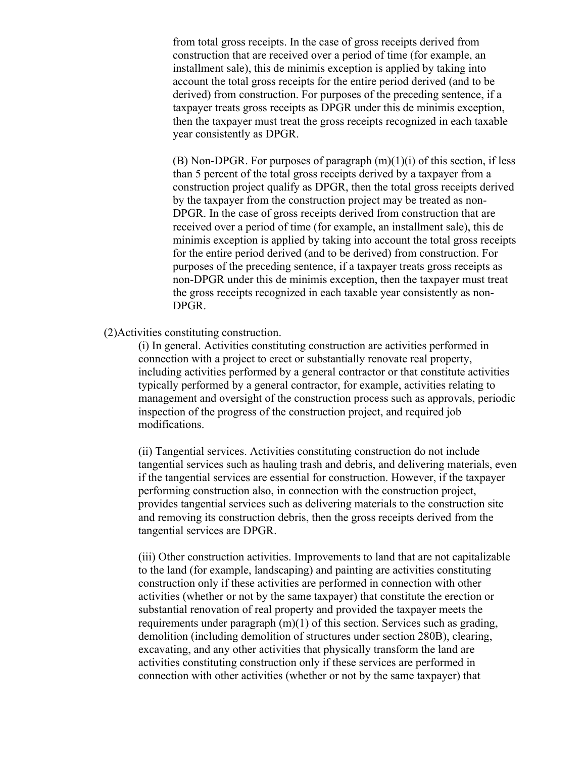from total gross receipts. In the case of gross receipts derived from construction that are received over a period of time (for example, an installment sale), this de minimis exception is applied by taking into account the total gross receipts for the entire period derived (and to be derived) from construction. For purposes of the preceding sentence, if a taxpayer treats gross receipts as DPGR under this de minimis exception, then the taxpayer must treat the gross receipts recognized in each taxable year consistently as DPGR.

(B) Non-DPGR. For purposes of paragraph  $(m)(1)(i)$  of this section, if less than 5 percent of the total gross receipts derived by a taxpayer from a construction project qualify as DPGR, then the total gross receipts derived by the taxpayer from the construction project may be treated as non-DPGR. In the case of gross receipts derived from construction that are received over a period of time (for example, an installment sale), this de minimis exception is applied by taking into account the total gross receipts for the entire period derived (and to be derived) from construction. For purposes of the preceding sentence, if a taxpayer treats gross receipts as non-DPGR under this de minimis exception, then the taxpayer must treat the gross receipts recognized in each taxable year consistently as non-DPGR.

(2)Activities constituting construction.

(i) In general. Activities constituting construction are activities performed in connection with a project to erect or substantially renovate real property, including activities performed by a general contractor or that constitute activities typically performed by a general contractor, for example, activities relating to management and oversight of the construction process such as approvals, periodic inspection of the progress of the construction project, and required job modifications.

(ii) Tangential services. Activities constituting construction do not include tangential services such as hauling trash and debris, and delivering materials, even if the tangential services are essential for construction. However, if the taxpayer performing construction also, in connection with the construction project, provides tangential services such as delivering materials to the construction site and removing its construction debris, then the gross receipts derived from the tangential services are DPGR.

(iii) Other construction activities. Improvements to land that are not capitalizable to the land (for example, landscaping) and painting are activities constituting construction only if these activities are performed in connection with other activities (whether or not by the same taxpayer) that constitute the erection or substantial renovation of real property and provided the taxpayer meets the requirements under paragraph (m)(1) of this section. Services such as grading, demolition (including demolition of structures under section 280B), clearing, excavating, and any other activities that physically transform the land are activities constituting construction only if these services are performed in connection with other activities (whether or not by the same taxpayer) that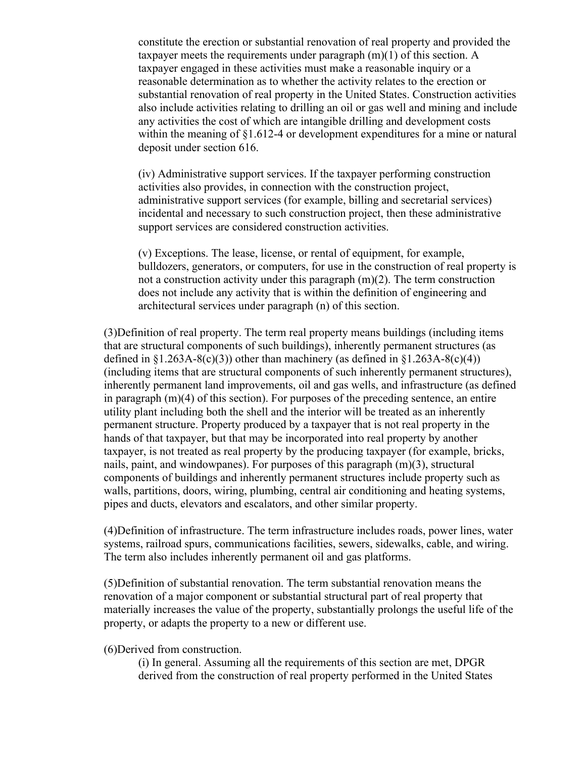constitute the erection or substantial renovation of real property and provided the taxpayer meets the requirements under paragraph (m)(1) of this section. A taxpayer engaged in these activities must make a reasonable inquiry or a reasonable determination as to whether the activity relates to the erection or substantial renovation of real property in the United States. Construction activities also include activities relating to drilling an oil or gas well and mining and include any activities the cost of which are intangible drilling and development costs within the meaning of §1.612-4 or development expenditures for a mine or natural deposit under section 616.

(iv) Administrative support services. If the taxpayer performing construction activities also provides, in connection with the construction project, administrative support services (for example, billing and secretarial services) incidental and necessary to such construction project, then these administrative support services are considered construction activities.

(v) Exceptions. The lease, license, or rental of equipment, for example, bulldozers, generators, or computers, for use in the construction of real property is not a construction activity under this paragraph (m)(2). The term construction does not include any activity that is within the definition of engineering and architectural services under paragraph (n) of this section.

(3)Definition of real property. The term real property means buildings (including items that are structural components of such buildings), inherently permanent structures (as defined in  $\S1.263A-8(c)(3)$ ) other than machinery (as defined in  $\S1.263A-8(c)(4)$ ) (including items that are structural components of such inherently permanent structures), inherently permanent land improvements, oil and gas wells, and infrastructure (as defined in paragraph  $(m)(4)$  of this section). For purposes of the preceding sentence, an entire utility plant including both the shell and the interior will be treated as an inherently permanent structure. Property produced by a taxpayer that is not real property in the hands of that taxpayer, but that may be incorporated into real property by another taxpayer, is not treated as real property by the producing taxpayer (for example, bricks, nails, paint, and windowpanes). For purposes of this paragraph (m)(3), structural components of buildings and inherently permanent structures include property such as walls, partitions, doors, wiring, plumbing, central air conditioning and heating systems, pipes and ducts, elevators and escalators, and other similar property.

(4)Definition of infrastructure. The term infrastructure includes roads, power lines, water systems, railroad spurs, communications facilities, sewers, sidewalks, cable, and wiring. The term also includes inherently permanent oil and gas platforms.

(5)Definition of substantial renovation. The term substantial renovation means the renovation of a major component or substantial structural part of real property that materially increases the value of the property, substantially prolongs the useful life of the property, or adapts the property to a new or different use.

#### (6)Derived from construction.

(i) In general. Assuming all the requirements of this section are met, DPGR derived from the construction of real property performed in the United States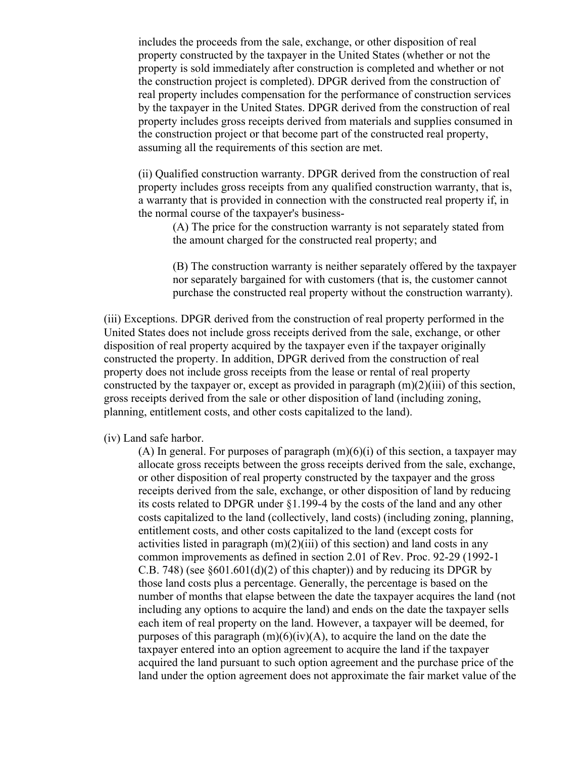includes the proceeds from the sale, exchange, or other disposition of real property constructed by the taxpayer in the United States (whether or not the property is sold immediately after construction is completed and whether or not the construction project is completed). DPGR derived from the construction of real property includes compensation for the performance of construction services by the taxpayer in the United States. DPGR derived from the construction of real property includes gross receipts derived from materials and supplies consumed in the construction project or that become part of the constructed real property, assuming all the requirements of this section are met.

(ii) Qualified construction warranty. DPGR derived from the construction of real property includes gross receipts from any qualified construction warranty, that is, a warranty that is provided in connection with the constructed real property if, in the normal course of the taxpayer's business-

(A) The price for the construction warranty is not separately stated from the amount charged for the constructed real property; and

(B) The construction warranty is neither separately offered by the taxpayer nor separately bargained for with customers (that is, the customer cannot purchase the constructed real property without the construction warranty).

(iii) Exceptions. DPGR derived from the construction of real property performed in the United States does not include gross receipts derived from the sale, exchange, or other disposition of real property acquired by the taxpayer even if the taxpayer originally constructed the property. In addition, DPGR derived from the construction of real property does not include gross receipts from the lease or rental of real property constructed by the taxpayer or, except as provided in paragraph  $(m)(2)(iii)$  of this section, gross receipts derived from the sale or other disposition of land (including zoning, planning, entitlement costs, and other costs capitalized to the land).

(iv) Land safe harbor.

(A) In general. For purposes of paragraph  $(m)(6)(i)$  of this section, a taxpayer may allocate gross receipts between the gross receipts derived from the sale, exchange, or other disposition of real property constructed by the taxpayer and the gross receipts derived from the sale, exchange, or other disposition of land by reducing its costs related to DPGR under §1.199-4 by the costs of the land and any other costs capitalized to the land (collectively, land costs) (including zoning, planning, entitlement costs, and other costs capitalized to the land (except costs for activities listed in paragraph  $(m)(2)(iii)$  of this section) and land costs in any common improvements as defined in section 2.01 of Rev. Proc. 92-29 (1992-1 C.B. 748) (see §601.601(d)(2) of this chapter)) and by reducing its DPGR by those land costs plus a percentage. Generally, the percentage is based on the number of months that elapse between the date the taxpayer acquires the land (not including any options to acquire the land) and ends on the date the taxpayer sells each item of real property on the land. However, a taxpayer will be deemed, for purposes of this paragraph  $(m)(6)(iv)(A)$ , to acquire the land on the date the taxpayer entered into an option agreement to acquire the land if the taxpayer acquired the land pursuant to such option agreement and the purchase price of the land under the option agreement does not approximate the fair market value of the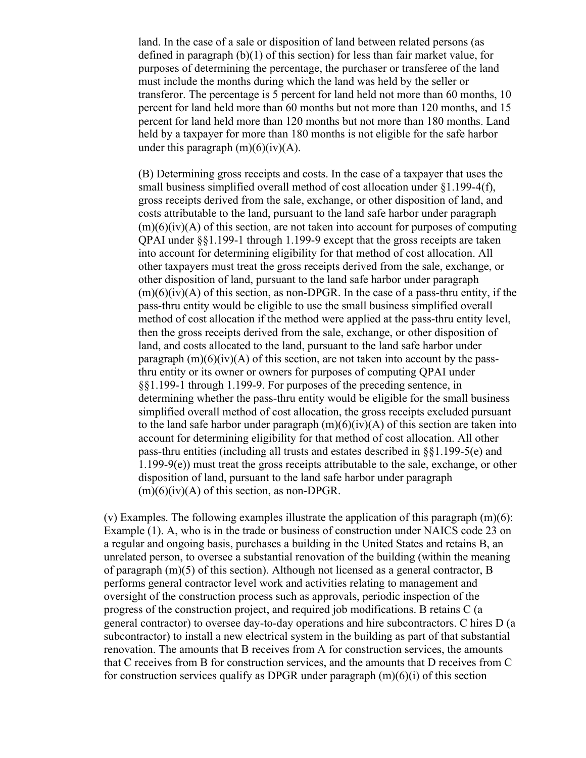land. In the case of a sale or disposition of land between related persons (as defined in paragraph (b)(1) of this section) for less than fair market value, for purposes of determining the percentage, the purchaser or transferee of the land must include the months during which the land was held by the seller or transferor. The percentage is 5 percent for land held not more than 60 months, 10 percent for land held more than 60 months but not more than 120 months, and 15 percent for land held more than 120 months but not more than 180 months. Land held by a taxpayer for more than 180 months is not eligible for the safe harbor under this paragraph  $(m)(6)(iv)(A)$ .

(B) Determining gross receipts and costs. In the case of a taxpayer that uses the small business simplified overall method of cost allocation under §1.199-4(f), gross receipts derived from the sale, exchange, or other disposition of land, and costs attributable to the land, pursuant to the land safe harbor under paragraph  $(m)(6)(iv)(A)$  of this section, are not taken into account for purposes of computing QPAI under §§1.199-1 through 1.199-9 except that the gross receipts are taken into account for determining eligibility for that method of cost allocation. All other taxpayers must treat the gross receipts derived from the sale, exchange, or other disposition of land, pursuant to the land safe harbor under paragraph  $(m)(6)(iv)(A)$  of this section, as non-DPGR. In the case of a pass-thru entity, if the pass-thru entity would be eligible to use the small business simplified overall method of cost allocation if the method were applied at the pass-thru entity level, then the gross receipts derived from the sale, exchange, or other disposition of land, and costs allocated to the land, pursuant to the land safe harbor under paragraph  $(m)(6)(iv)(A)$  of this section, are not taken into account by the passthru entity or its owner or owners for purposes of computing QPAI under §§1.199-1 through 1.199-9. For purposes of the preceding sentence, in determining whether the pass-thru entity would be eligible for the small business simplified overall method of cost allocation, the gross receipts excluded pursuant to the land safe harbor under paragraph  $(m)(6)(iv)(A)$  of this section are taken into account for determining eligibility for that method of cost allocation. All other pass-thru entities (including all trusts and estates described in §§1.199-5(e) and 1.199-9(e)) must treat the gross receipts attributable to the sale, exchange, or other disposition of land, pursuant to the land safe harbor under paragraph  $(m)(6)(iv)(A)$  of this section, as non-DPGR.

(v) Examples. The following examples illustrate the application of this paragraph  $(m)(6)$ : Example (1). A, who is in the trade or business of construction under NAICS code 23 on a regular and ongoing basis, purchases a building in the United States and retains B, an unrelated person, to oversee a substantial renovation of the building (within the meaning of paragraph  $(m)(5)$  of this section). Although not licensed as a general contractor, B performs general contractor level work and activities relating to management and oversight of the construction process such as approvals, periodic inspection of the progress of the construction project, and required job modifications. B retains C (a general contractor) to oversee day-to-day operations and hire subcontractors. C hires D (a subcontractor) to install a new electrical system in the building as part of that substantial renovation. The amounts that B receives from A for construction services, the amounts that C receives from B for construction services, and the amounts that D receives from C for construction services qualify as DPGR under paragraph  $(m)(6)(i)$  of this section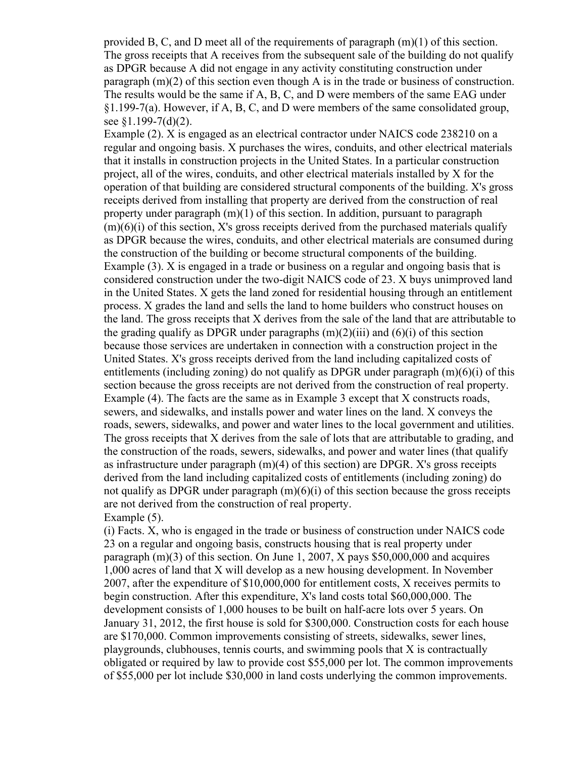provided B, C, and D meet all of the requirements of paragraph (m)(1) of this section. The gross receipts that A receives from the subsequent sale of the building do not qualify as DPGR because A did not engage in any activity constituting construction under paragraph (m)(2) of this section even though A is in the trade or business of construction. The results would be the same if A, B, C, and D were members of the same EAG under §1.199-7(a). However, if A, B, C, and D were members of the same consolidated group, see §1.199-7(d)(2).

Example (2). X is engaged as an electrical contractor under NAICS code 238210 on a regular and ongoing basis. X purchases the wires, conduits, and other electrical materials that it installs in construction projects in the United States. In a particular construction project, all of the wires, conduits, and other electrical materials installed by X for the operation of that building are considered structural components of the building. X's gross receipts derived from installing that property are derived from the construction of real property under paragraph (m)(1) of this section. In addition, pursuant to paragraph  $(m)(6)(i)$  of this section, X's gross receipts derived from the purchased materials qualify as DPGR because the wires, conduits, and other electrical materials are consumed during the construction of the building or become structural components of the building. Example (3). X is engaged in a trade or business on a regular and ongoing basis that is considered construction under the two-digit NAICS code of 23. X buys unimproved land in the United States. X gets the land zoned for residential housing through an entitlement process. X grades the land and sells the land to home builders who construct houses on the land. The gross receipts that X derives from the sale of the land that are attributable to the grading qualify as DPGR under paragraphs  $(m)(2)(iii)$  and  $(6)(i)$  of this section because those services are undertaken in connection with a construction project in the United States. X's gross receipts derived from the land including capitalized costs of entitlements (including zoning) do not qualify as DPGR under paragraph (m)(6)(i) of this section because the gross receipts are not derived from the construction of real property. Example (4). The facts are the same as in Example 3 except that X constructs roads, sewers, and sidewalks, and installs power and water lines on the land. X conveys the roads, sewers, sidewalks, and power and water lines to the local government and utilities. The gross receipts that X derives from the sale of lots that are attributable to grading, and the construction of the roads, sewers, sidewalks, and power and water lines (that qualify as infrastructure under paragraph (m)(4) of this section) are DPGR. X's gross receipts derived from the land including capitalized costs of entitlements (including zoning) do not qualify as DPGR under paragraph  $(m)(6)(i)$  of this section because the gross receipts are not derived from the construction of real property. Example  $(5)$ .

(i) Facts. X, who is engaged in the trade or business of construction under NAICS code 23 on a regular and ongoing basis, constructs housing that is real property under paragraph (m)(3) of this section. On June 1, 2007, X pays \$50,000,000 and acquires 1,000 acres of land that X will develop as a new housing development. In November 2007, after the expenditure of \$10,000,000 for entitlement costs, X receives permits to begin construction. After this expenditure, X's land costs total \$60,000,000. The development consists of 1,000 houses to be built on half-acre lots over 5 years. On January 31, 2012, the first house is sold for \$300,000. Construction costs for each house are \$170,000. Common improvements consisting of streets, sidewalks, sewer lines, playgrounds, clubhouses, tennis courts, and swimming pools that X is contractually obligated or required by law to provide cost \$55,000 per lot. The common improvements of \$55,000 per lot include \$30,000 in land costs underlying the common improvements.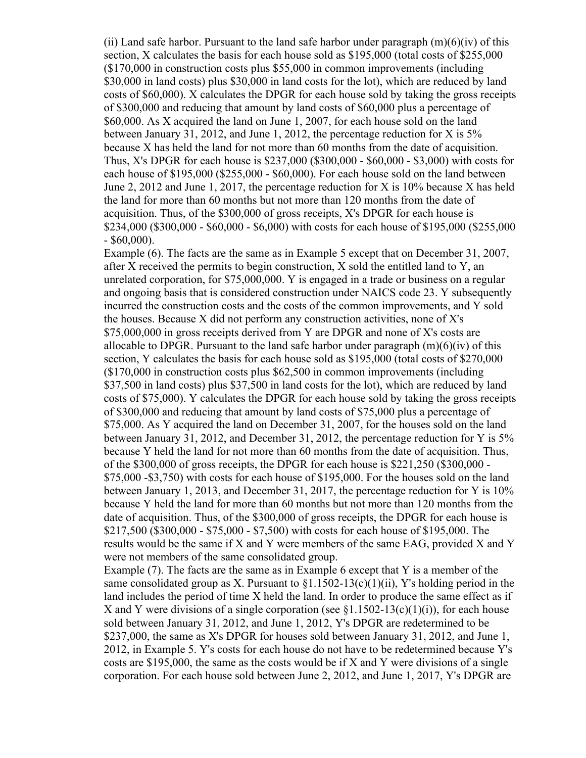(ii) Land safe harbor. Pursuant to the land safe harbor under paragraph  $(m)(6)(iv)$  of this section, X calculates the basis for each house sold as \$195,000 (total costs of \$255,000 (\$170,000 in construction costs plus \$55,000 in common improvements (including \$30,000 in land costs) plus \$30,000 in land costs for the lot), which are reduced by land costs of \$60,000). X calculates the DPGR for each house sold by taking the gross receipts of \$300,000 and reducing that amount by land costs of \$60,000 plus a percentage of \$60,000. As X acquired the land on June 1, 2007, for each house sold on the land between January 31, 2012, and June 1, 2012, the percentage reduction for X is 5% because X has held the land for not more than 60 months from the date of acquisition. Thus, X's DPGR for each house is \$237,000 (\$300,000 - \$60,000 - \$3,000) with costs for each house of \$195,000 (\$255,000 - \$60,000). For each house sold on the land between June 2, 2012 and June 1, 2017, the percentage reduction for X is 10% because X has held the land for more than 60 months but not more than 120 months from the date of acquisition. Thus, of the \$300,000 of gross receipts, X's DPGR for each house is \$234,000 (\$300,000 - \$60,000 - \$6,000) with costs for each house of \$195,000 (\$255,000  $-$  \$60,000).

Example (6). The facts are the same as in Example 5 except that on December 31, 2007, after X received the permits to begin construction, X sold the entitled land to Y, an unrelated corporation, for \$75,000,000. Y is engaged in a trade or business on a regular and ongoing basis that is considered construction under NAICS code 23. Y subsequently incurred the construction costs and the costs of the common improvements, and Y sold the houses. Because X did not perform any construction activities, none of X's \$75,000,000 in gross receipts derived from Y are DPGR and none of X's costs are allocable to DPGR. Pursuant to the land safe harbor under paragraph  $(m)(6)(iv)$  of this section, Y calculates the basis for each house sold as \$195,000 (total costs of \$270,000 (\$170,000 in construction costs plus \$62,500 in common improvements (including \$37,500 in land costs) plus \$37,500 in land costs for the lot), which are reduced by land costs of \$75,000). Y calculates the DPGR for each house sold by taking the gross receipts of \$300,000 and reducing that amount by land costs of \$75,000 plus a percentage of \$75,000. As Y acquired the land on December 31, 2007, for the houses sold on the land between January 31, 2012, and December 31, 2012, the percentage reduction for Y is 5% because Y held the land for not more than 60 months from the date of acquisition. Thus, of the \$300,000 of gross receipts, the DPGR for each house is \$221,250 (\$300,000 - \$75,000 -\$3,750) with costs for each house of \$195,000. For the houses sold on the land between January 1, 2013, and December 31, 2017, the percentage reduction for Y is 10% because Y held the land for more than 60 months but not more than 120 months from the date of acquisition. Thus, of the \$300,000 of gross receipts, the DPGR for each house is \$217,500 (\$300,000 - \$75,000 - \$7,500) with costs for each house of \$195,000. The results would be the same if X and Y were members of the same EAG, provided X and Y were not members of the same consolidated group.

Example (7). The facts are the same as in Example 6 except that Y is a member of the same consolidated group as X. Pursuant to  $\S1.1502-13(c)(1)(ii)$ , Y's holding period in the land includes the period of time X held the land. In order to produce the same effect as if X and Y were divisions of a single corporation (see  $\S 1.1502-13(c)(1)(i)$ ), for each house sold between January 31, 2012, and June 1, 2012, Y's DPGR are redetermined to be \$237,000, the same as X's DPGR for houses sold between January 31, 2012, and June 1, 2012, in Example 5. Y's costs for each house do not have to be redetermined because Y's costs are \$195,000, the same as the costs would be if X and Y were divisions of a single corporation. For each house sold between June 2, 2012, and June 1, 2017, Y's DPGR are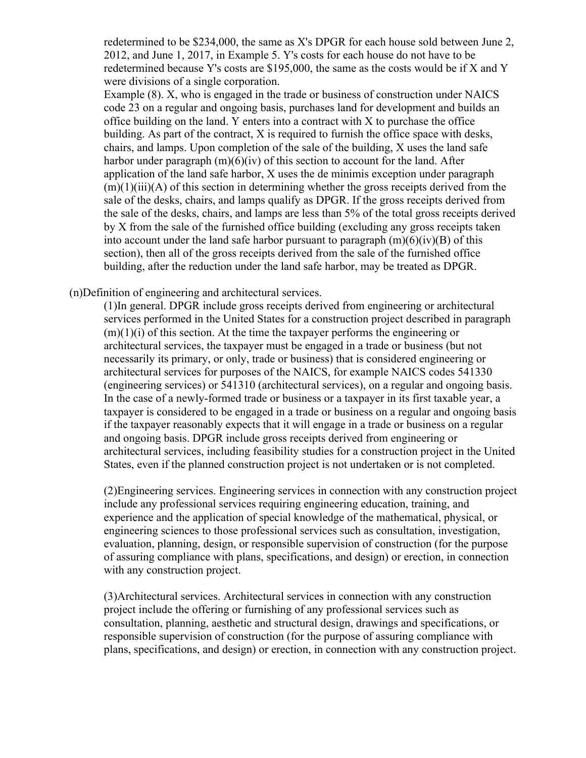redetermined to be \$234,000, the same as X's DPGR for each house sold between June 2, 2012, and June 1, 2017, in Example 5. Y's costs for each house do not have to be redetermined because Y's costs are \$195,000, the same as the costs would be if X and Y were divisions of a single corporation.

Example (8). X, who is engaged in the trade or business of construction under NAICS code 23 on a regular and ongoing basis, purchases land for development and builds an office building on the land. Y enters into a contract with X to purchase the office building. As part of the contract, X is required to furnish the office space with desks, chairs, and lamps. Upon completion of the sale of the building, X uses the land safe harbor under paragraph  $(m)(6)(iv)$  of this section to account for the land. After application of the land safe harbor, X uses the de minimis exception under paragraph  $(m)(1)(iii)(A)$  of this section in determining whether the gross receipts derived from the sale of the desks, chairs, and lamps qualify as DPGR. If the gross receipts derived from the sale of the desks, chairs, and lamps are less than 5% of the total gross receipts derived by X from the sale of the furnished office building (excluding any gross receipts taken into account under the land safe harbor pursuant to paragraph  $(m)(6)(iv)(B)$  of this section), then all of the gross receipts derived from the sale of the furnished office building, after the reduction under the land safe harbor, may be treated as DPGR.

(n)Definition of engineering and architectural services.

(1)In general. DPGR include gross receipts derived from engineering or architectural services performed in the United States for a construction project described in paragraph  $(m)(1)(i)$  of this section. At the time the taxpayer performs the engineering or architectural services, the taxpayer must be engaged in a trade or business (but not necessarily its primary, or only, trade or business) that is considered engineering or architectural services for purposes of the NAICS, for example NAICS codes 541330 (engineering services) or 541310 (architectural services), on a regular and ongoing basis. In the case of a newly-formed trade or business or a taxpayer in its first taxable year, a taxpayer is considered to be engaged in a trade or business on a regular and ongoing basis if the taxpayer reasonably expects that it will engage in a trade or business on a regular and ongoing basis. DPGR include gross receipts derived from engineering or architectural services, including feasibility studies for a construction project in the United States, even if the planned construction project is not undertaken or is not completed.

(2)Engineering services. Engineering services in connection with any construction project include any professional services requiring engineering education, training, and experience and the application of special knowledge of the mathematical, physical, or engineering sciences to those professional services such as consultation, investigation, evaluation, planning, design, or responsible supervision of construction (for the purpose of assuring compliance with plans, specifications, and design) or erection, in connection with any construction project.

(3)Architectural services. Architectural services in connection with any construction project include the offering or furnishing of any professional services such as consultation, planning, aesthetic and structural design, drawings and specifications, or responsible supervision of construction (for the purpose of assuring compliance with plans, specifications, and design) or erection, in connection with any construction project.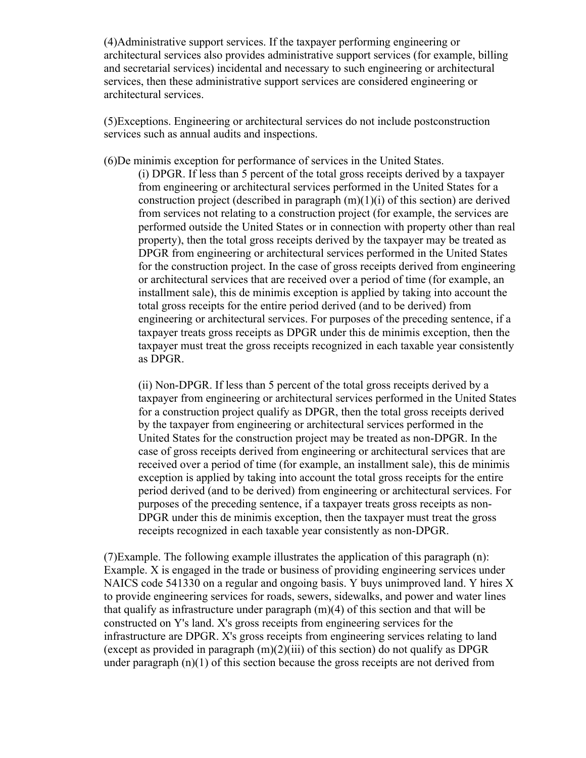(4)Administrative support services. If the taxpayer performing engineering or architectural services also provides administrative support services (for example, billing and secretarial services) incidental and necessary to such engineering or architectural services, then these administrative support services are considered engineering or architectural services.

(5)Exceptions. Engineering or architectural services do not include postconstruction services such as annual audits and inspections.

(6)De minimis exception for performance of services in the United States.

(i) DPGR. If less than 5 percent of the total gross receipts derived by a taxpayer from engineering or architectural services performed in the United States for a construction project (described in paragraph  $(m)(1)(i)$  of this section) are derived from services not relating to a construction project (for example, the services are performed outside the United States or in connection with property other than real property), then the total gross receipts derived by the taxpayer may be treated as DPGR from engineering or architectural services performed in the United States for the construction project. In the case of gross receipts derived from engineering or architectural services that are received over a period of time (for example, an installment sale), this de minimis exception is applied by taking into account the total gross receipts for the entire period derived (and to be derived) from engineering or architectural services. For purposes of the preceding sentence, if a taxpayer treats gross receipts as DPGR under this de minimis exception, then the taxpayer must treat the gross receipts recognized in each taxable year consistently as DPGR.

(ii) Non-DPGR. If less than 5 percent of the total gross receipts derived by a taxpayer from engineering or architectural services performed in the United States for a construction project qualify as DPGR, then the total gross receipts derived by the taxpayer from engineering or architectural services performed in the United States for the construction project may be treated as non-DPGR. In the case of gross receipts derived from engineering or architectural services that are received over a period of time (for example, an installment sale), this de minimis exception is applied by taking into account the total gross receipts for the entire period derived (and to be derived) from engineering or architectural services. For purposes of the preceding sentence, if a taxpayer treats gross receipts as non-DPGR under this de minimis exception, then the taxpayer must treat the gross receipts recognized in each taxable year consistently as non-DPGR.

(7)Example. The following example illustrates the application of this paragraph (n): Example. X is engaged in the trade or business of providing engineering services under NAICS code 541330 on a regular and ongoing basis. Y buys unimproved land. Y hires X to provide engineering services for roads, sewers, sidewalks, and power and water lines that qualify as infrastructure under paragraph  $(m)(4)$  of this section and that will be constructed on Y's land. X's gross receipts from engineering services for the infrastructure are DPGR. X's gross receipts from engineering services relating to land (except as provided in paragraph  $(m)(2)(iii)$  of this section) do not qualify as DPGR under paragraph  $(n)(1)$  of this section because the gross receipts are not derived from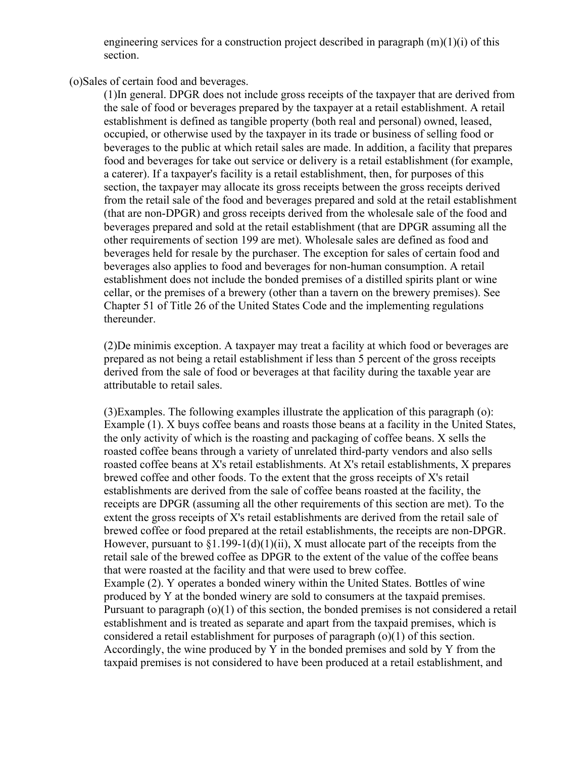engineering services for a construction project described in paragraph  $(m)(1)(i)$  of this section.

(o)Sales of certain food and beverages.

(1)In general. DPGR does not include gross receipts of the taxpayer that are derived from the sale of food or beverages prepared by the taxpayer at a retail establishment. A retail establishment is defined as tangible property (both real and personal) owned, leased, occupied, or otherwise used by the taxpayer in its trade or business of selling food or beverages to the public at which retail sales are made. In addition, a facility that prepares food and beverages for take out service or delivery is a retail establishment (for example, a caterer). If a taxpayer's facility is a retail establishment, then, for purposes of this section, the taxpayer may allocate its gross receipts between the gross receipts derived from the retail sale of the food and beverages prepared and sold at the retail establishment (that are non-DPGR) and gross receipts derived from the wholesale sale of the food and beverages prepared and sold at the retail establishment (that are DPGR assuming all the other requirements of section 199 are met). Wholesale sales are defined as food and beverages held for resale by the purchaser. The exception for sales of certain food and beverages also applies to food and beverages for non-human consumption. A retail establishment does not include the bonded premises of a distilled spirits plant or wine cellar, or the premises of a brewery (other than a tavern on the brewery premises). See Chapter 51 of Title 26 of the United States Code and the implementing regulations thereunder.

(2)De minimis exception. A taxpayer may treat a facility at which food or beverages are prepared as not being a retail establishment if less than 5 percent of the gross receipts derived from the sale of food or beverages at that facility during the taxable year are attributable to retail sales.

(3)Examples. The following examples illustrate the application of this paragraph (o): Example (1). X buys coffee beans and roasts those beans at a facility in the United States, the only activity of which is the roasting and packaging of coffee beans. X sells the roasted coffee beans through a variety of unrelated third-party vendors and also sells roasted coffee beans at X's retail establishments. At X's retail establishments, X prepares brewed coffee and other foods. To the extent that the gross receipts of X's retail establishments are derived from the sale of coffee beans roasted at the facility, the receipts are DPGR (assuming all the other requirements of this section are met). To the extent the gross receipts of X's retail establishments are derived from the retail sale of brewed coffee or food prepared at the retail establishments, the receipts are non-DPGR. However, pursuant to  $\S1.199-1(d)(1)(ii)$ , X must allocate part of the receipts from the retail sale of the brewed coffee as DPGR to the extent of the value of the coffee beans that were roasted at the facility and that were used to brew coffee. Example (2). Y operates a bonded winery within the United States. Bottles of wine produced by Y at the bonded winery are sold to consumers at the taxpaid premises. Pursuant to paragraph (o)(1) of this section, the bonded premises is not considered a retail establishment and is treated as separate and apart from the taxpaid premises, which is considered a retail establishment for purposes of paragraph (o)(1) of this section.

Accordingly, the wine produced by Y in the bonded premises and sold by Y from the taxpaid premises is not considered to have been produced at a retail establishment, and